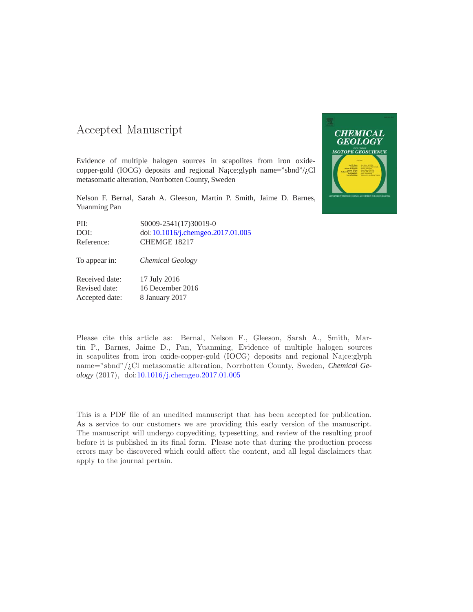#### -- -

Evidence of multiple halogen sources in scapolites from iron oxidecopper-gold (IOCG) deposits and regional Na¡ce:glyph name="sbnd"/¿Cl metasomatic alteration, Norrbotten County, Sweden

Nelson F. Bernal, Sarah A. Gleeson, Martin P. Smith, Jaime D. Barnes, Yuanming Pan

| PII:       | S0009-2541(17)30019-0                                        |
|------------|--------------------------------------------------------------|
| DOI:       | $\text{doi: } 10.1016/\text{j.} \text{chemgeo.} 2017.01.005$ |
| Reference: | CHEMGE 18217                                                 |

To appear in: *Chemical Geology*

Received date: 17 July 2016 Revised date: 16 December 2016 Accepted date: 8 January 2017

Please cite this article as: Bernal, Nelson F., Gleeson, Sarah A., Smith, Martin P., Barnes, Jaime D., Pan, Yuanming, Evidence of multiple halogen sources in scapolites from iron oxide-copper-gold (IOCG) deposits and regional Na¡ce:glyph name="sbnd"/¿Cl metasomatic alteration, Norrbotten County, Sweden, *Chemical Geology* (2017), doi[:10.1016/j.chemgeo.2017.01.005](http://dx.doi.org/10.1016/j.chemgeo.2017.01.005)

This is a PDF file of an unedited manuscript that has been accepted for publication. As a service to our customers we are providing this early version of the manuscript. The manuscript will undergo copyediting, typesetting, and review of the resulting proof before it is published in its final form. Please note that during the production process errors may be discovered which could affect the content, and all legal disclaimers that apply to the journal pertain.

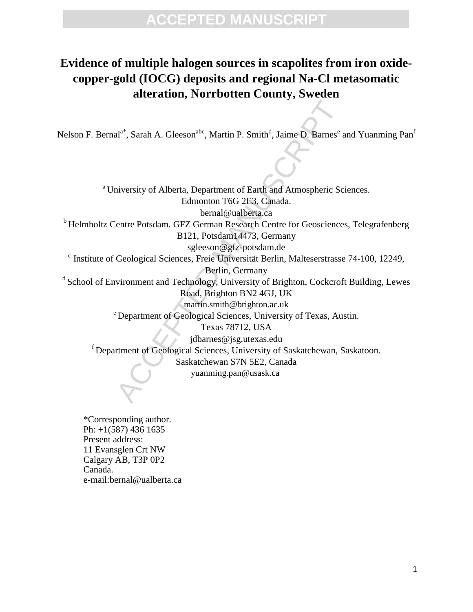#### **Evidence of multiple halogen sources in scapolites from iron oxidecopper-gold (IOCG) deposits and regional Na-Cl metasomatic alteration, Norrbotten County, Sweden**

Nelson F. Bernal<sup>a\*</sup>, Sarah A. Gleeson<sup>abc</sup>, Martin P. Smith<sup>d</sup>, Jaime D. Barnes<sup>e</sup> and Yuanming Pan<sup>f</sup>

al<sup>a\*</sup>, Sarah A. Gleeson<sup>abc</sup>, Martin P. Smith<sup>d</sup>, Jaime D. Barnes<sup>\*</sup> a<br>
inversity of Alberta, Department of Earth and Atmospheric Sci<br>
Edmonton T6G 2E3, Canada.<br>
bernal@ualberta.ca<br>
centre Potsdam. GFZ German Research Cen <sup>a</sup> University of Alberta, Department of Earth and Atmospheric Sciences. Edmonton T6G 2E3, Canada. bernal@ualberta.ca <sup>b</sup> Helmholtz Centre Potsdam. GFZ German Research Centre for Geosciences, Telegrafenberg B121, Potsdam14473, Germany sgleeson@gfz-potsdam.de c Institute of Geological Sciences, Freie Universität Berlin, Malteserstrasse 74-100, 12249, Berlin, Germany  $dS$ chool of Environment and Technology, University of Brighton, Cockcroft Building, Lewes Road, Brighton BN2 4GJ, UK martin.smith@brighton.ac.uk <sup>e</sup> Department of Geological Sciences, University of Texas, Austin. Texas 78712, USA jdbarnes@jsg.utexas.edu <sup>f</sup>Department of Geological Sciences, University of Saskatchewan, Saskatoon. Saskatchewan S7N 5E2, Canada yuanming.pan@usask.ca

\*Corresponding author. Ph: +1(587) 436 1635 Present address: 11 Evansglen Crt NW Calgary AB, T3P 0P2 Canada. e-mail:bernal@ualberta.ca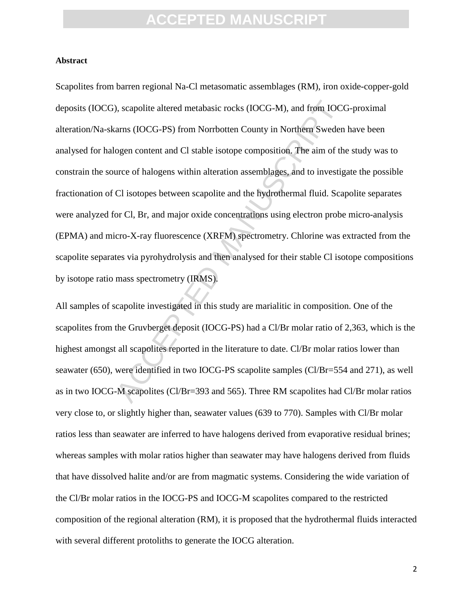#### **Abstract**

), scapolite altered metabasic rocks (IOCG-M), and from IOCC<br>arns (IOCG-PS) from Norrbotten County in Northern Sweden<br>ogen content and CI stable isotope composition. The aim of th<br>are of halogens within alteration assembla Scapolites from barren regional Na-Cl metasomatic assemblages (RM), iron oxide-copper-gold deposits (IOCG), scapolite altered metabasic rocks (IOCG-M), and from IOCG-proximal alteration/Na-skarns (IOCG-PS) from Norrbotten County in Northern Sweden have been analysed for halogen content and Cl stable isotope composition. The aim of the study was to constrain the source of halogens within alteration assemblages, and to investigate the possible fractionation of Cl isotopes between scapolite and the hydrothermal fluid. Scapolite separates were analyzed for Cl, Br, and major oxide concentrations using electron probe micro-analysis (EPMA) and micro-X-ray fluorescence (XRFM) spectrometry. Chlorine was extracted from the scapolite separates via pyrohydrolysis and then analysed for their stable Cl isotope compositions by isotope ratio mass spectrometry (IRMS).

All samples of scapolite investigated in this study are marialitic in composition. One of the scapolites from the Gruvberget deposit (IOCG-PS) had a Cl/Br molar ratio of 2,363, which is the highest amongst all scapolites reported in the literature to date. Cl/Br molar ratios lower than seawater (650), were identified in two IOCG-PS scapolite samples (Cl/Br=554 and 271), as well as in two IOCG-M scapolites (Cl/Br=393 and 565). Three RM scapolites had Cl/Br molar ratios very close to, or slightly higher than, seawater values (639 to 770). Samples with Cl/Br molar ratios less than seawater are inferred to have halogens derived from evaporative residual brines; whereas samples with molar ratios higher than seawater may have halogens derived from fluids that have dissolved halite and/or are from magmatic systems. Considering the wide variation of the Cl/Br molar ratios in the IOCG-PS and IOCG-M scapolites compared to the restricted composition of the regional alteration (RM), it is proposed that the hydrothermal fluids interacted with several different protoliths to generate the IOCG alteration.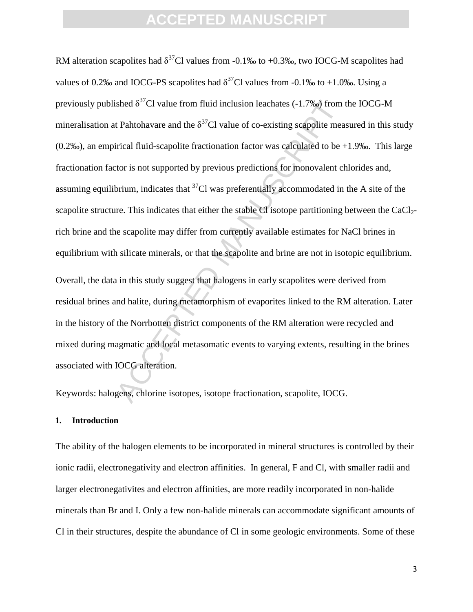ished  $\delta^{37}$ Cl value from fluid inclusion leachates (-1.7%) from it Pahtohavare and the  $\delta^{37}$ Cl value of co-existing scapolite meatrical fluid-scapolite fractionation factor was calculated to be +tor is not supported RM alteration scapolites had  $\delta^{37}$ Cl values from -0.1‰ to +0.3‰, two IOCG-M scapolites had values of 0.2‰ and IOCG-PS scapolites had  $\delta^{37}$ Cl values from -0.1‰ to +1.0‰. Using a previously published  $\delta^{37}$ Cl value from fluid inclusion leachates (-1.7‰) from the IOCG-M mineralisation at Pahtohavare and the  $\delta^{37}$ Cl value of co-existing scapolite measured in this study  $(0.2\%)$ , an empirical fluid-scapolite fractionation factor was calculated to be  $+1.9\%$ . This large fractionation factor is not supported by previous predictions for monovalent chlorides and, assuming equilibrium, indicates that  ${}^{37}$ Cl was preferentially accommodated in the A site of the scapolite structure. This indicates that either the stable Cl isotope partitioning between the CaCl<sub>2</sub>rich brine and the scapolite may differ from currently available estimates for NaCl brines in equilibrium with silicate minerals, or that the scapolite and brine are not in isotopic equilibrium. Overall, the data in this study suggest that halogens in early scapolites were derived from residual brines and halite, during metamorphism of evaporites linked to the RM alteration. Later in the history of the Norrbotten district components of the RM alteration were recycled and mixed during magmatic and local metasomatic events to varying extents, resulting in the brines associated with IOCG alteration.

Keywords: halogens, chlorine isotopes, isotope fractionation, scapolite, IOCG.

#### **1. Introduction**

The ability of the halogen elements to be incorporated in mineral structures is controlled by their ionic radii, electronegativity and electron affinities. In general, F and Cl, with smaller radii and larger electronegativites and electron affinities, are more readily incorporated in non-halide minerals than Br and I. Only a few non-halide minerals can accommodate significant amounts of Cl in their structures, despite the abundance of Cl in some geologic environments. Some of these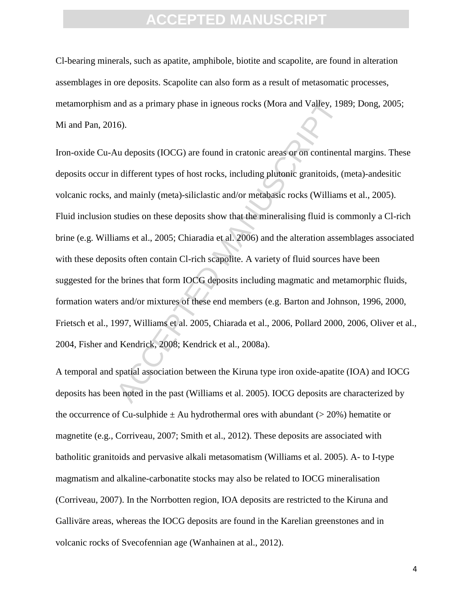Cl-bearing minerals, such as apatite, amphibole, biotite and scapolite, are found in alteration assemblages in ore deposits. Scapolite can also form as a result of metasomatic processes, metamorphism and as a primary phase in igneous rocks (Mora and Valley, 1989; Dong, 2005; Mi and Pan, 2016).

and as a primary phase in igneous rocks (Mora and Valley, 198<br>
16).<br>
Au deposits (IOCG) are found in cratonic areas or on continent<br>
n different types of host rocks, including plutonic granitoids, (<br>
and mainly (meta)-sili Iron-oxide Cu-Au deposits (IOCG) are found in cratonic areas or on continental margins. These deposits occur in different types of host rocks, including plutonic granitoids, (meta)-andesitic volcanic rocks, and mainly (meta)-siliclastic and/or metabasic rocks (Williams et al., 2005). Fluid inclusion studies on these deposits show that the mineralising fluid is commonly a Cl-rich brine (e.g. Williams et al., 2005; Chiaradia et al. 2006) and the alteration assemblages associated with these deposits often contain Cl-rich scapolite. A variety of fluid sources have been suggested for the brines that form IOCG deposits including magmatic and metamorphic fluids, formation waters and/or mixtures of these end members (e.g. Barton and Johnson, 1996, 2000, Frietsch et al., 1997, Williams et al. 2005, Chiarada et al., 2006, Pollard 2000, 2006, Oliver et al., 2004, Fisher and Kendrick, 2008; Kendrick et al., 2008a).

A temporal and spatial association between the Kiruna type iron oxide-apatite (IOA) and IOCG deposits has been noted in the past (Williams et al. 2005). IOCG deposits are characterized by the occurrence of Cu-sulphide  $\pm$  Au hydrothermal ores with abundant ( $>$  20%) hematite or magnetite (e.g., Corriveau, 2007; Smith et al., 2012). These deposits are associated with batholitic granitoids and pervasive alkali metasomatism (Williams et al. 2005). A- to I-type magmatism and alkaline-carbonatite stocks may also be related to IOCG mineralisation (Corriveau, 2007). In the Norrbotten region, IOA deposits are restricted to the Kiruna and Galliväre areas, whereas the IOCG deposits are found in the Karelian greenstones and in volcanic rocks of Svecofennian age (Wanhainen at al., 2012).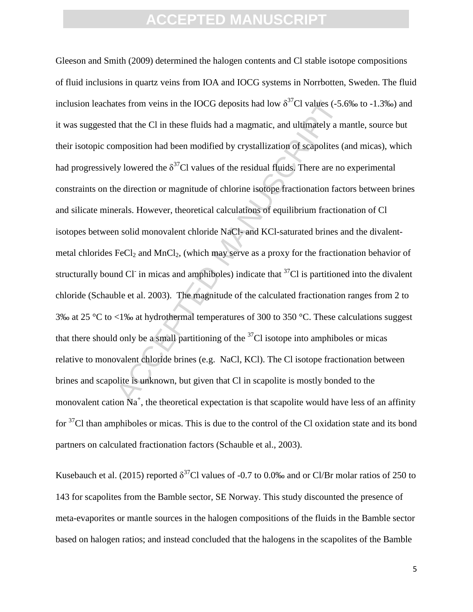tes from veins in the IOCG deposits had low  $\delta^{3'}$ CI values (-5.6)<br>that the CI in these fluids had a magmatic, and ultimately a m<br>mposition had been modified by crystallization of scapolites (a<br>ly lowered the  $\delta^{37}$ CI Gleeson and Smith (2009) determined the halogen contents and Cl stable isotope compositions of fluid inclusions in quartz veins from IOA and IOCG systems in Norrbotten, Sweden. The fluid inclusion leachates from veins in the IOCG deposits had low  $\delta^{37}$ Cl values (-5.6‰ to -1.3‰) and it was suggested that the Cl in these fluids had a magmatic, and ultimately a mantle, source but their isotopic composition had been modified by crystallization of scapolites (and micas), which had progressively lowered the  $\delta^{37}$ Cl values of the residual fluids. There are no experimental constraints on the direction or magnitude of chlorine isotope fractionation factors between brines and silicate minerals. However, theoretical calculations of equilibrium fractionation of Cl isotopes between solid monovalent chloride NaCl- and KCl-saturated brines and the divalentmetal chlorides  $FeCl<sub>2</sub>$  and MnCl<sub>2</sub>, (which may serve as a proxy for the fractionation behavior of structurally bound Cl in micas and amphiboles) indicate that  $37$ Cl is partitioned into the divalent chloride (Schauble et al. 2003). The magnitude of the calculated fractionation ranges from 2 to 3‰ at 25 °C to <1‰ at hydrothermal temperatures of 300 to 350 °C. These calculations suggest that there should only be a small partitioning of the  $37<sup>7</sup>C$ l isotope into amphiboles or micas relative to monovalent chloride brines (e.g. NaCl, KCl). The Cl isotope fractionation between brines and scapolite is unknown, but given that Cl in scapolite is mostly bonded to the monovalent cation  $Na^+$ , the theoretical expectation is that scapolite would have less of an affinity for <sup>37</sup>Cl than amphiboles or micas. This is due to the control of the Cl oxidation state and its bond partners on calculated fractionation factors (Schauble et al., 2003).

Kusebauch et al. (2015) reported  $\delta^{37}$ Cl values of -0.7 to 0.0‰ and or Cl/Br molar ratios of 250 to 143 for scapolites from the Bamble sector, SE Norway. This study discounted the presence of meta-evaporites or mantle sources in the halogen compositions of the fluids in the Bamble sector based on halogen ratios; and instead concluded that the halogens in the scapolites of the Bamble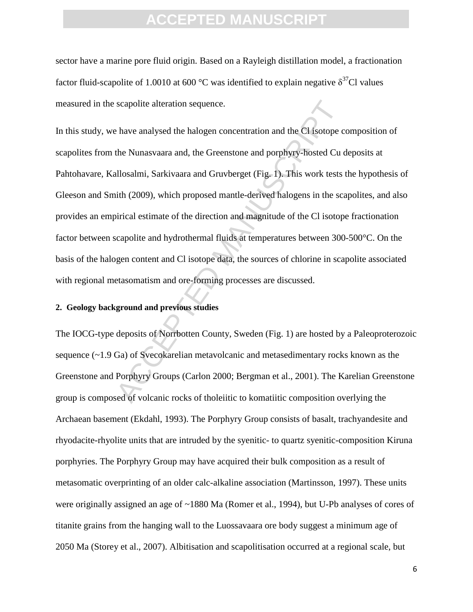sector have a marine pore fluid origin. Based on a Rayleigh distillation model, a fractionation factor fluid-scapolite of 1.0010 at 600 °C was identified to explain negative  $\delta^{37}$ Cl values measured in the scapolite alteration sequence.

scapolite alteration sequence.<br>
have analysed the halogen concentration and the Cl isotope c<br>
the Nunasvaara and, the Greenstone and porphyry-hosted Cu c<br>
allosalmi, Sarkivaara and Gruvberget (Fig. 1). This work tests<br>
ith In this study, we have analysed the halogen concentration and the Cl isotope composition of scapolites from the Nunasvaara and, the Greenstone and porphyry-hosted Cu deposits at Pahtohavare, Kallosalmi, Sarkivaara and Gruvberget (Fig. 1). This work tests the hypothesis of Gleeson and Smith (2009), which proposed mantle-derived halogens in the scapolites, and also provides an empirical estimate of the direction and magnitude of the Cl isotope fractionation factor between scapolite and hydrothermal fluids at temperatures between 300-500°C. On the basis of the halogen content and Cl isotope data, the sources of chlorine in scapolite associated with regional metasomatism and ore-forming processes are discussed.

#### **2. Geology background and previous studies**

The IOCG-type deposits of Norrbotten County, Sweden (Fig. 1) are hosted by a Paleoproterozoic sequence (~1.9 Ga) of Svecokarelian metavolcanic and metasedimentary rocks known as the Greenstone and Porphyry Groups (Carlon 2000; Bergman et al., 2001). The Karelian Greenstone group is composed of volcanic rocks of tholeiitic to komatiitic composition overlying the Archaean basement (Ekdahl, 1993). The Porphyry Group consists of basalt, trachyandesite and rhyodacite-rhyolite units that are intruded by the syenitic- to quartz syenitic-composition Kiruna porphyries. The Porphyry Group may have acquired their bulk composition as a result of metasomatic overprinting of an older calc-alkaline association (Martinsson, 1997). These units were originally assigned an age of ~1880 Ma (Romer et al., 1994), but U-Pb analyses of cores of titanite grains from the hanging wall to the Luossavaara ore body suggest a minimum age of 2050 Ma (Storey et al., 2007). Albitisation and scapolitisation occurred at a regional scale, but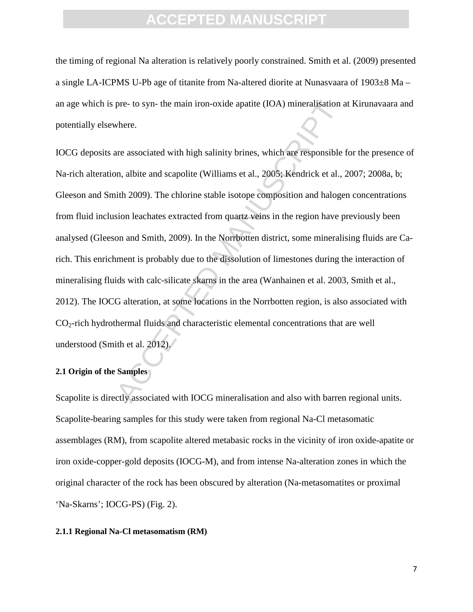the timing of regional Na alteration is relatively poorly constrained. Smith et al. (2009) presented a single LA-ICPMS U-Pb age of titanite from Na-altered diorite at Nunasvaara of 1903±8 Ma – an age which is pre- to syn- the main iron-oxide apatite (IOA) mineralisation at Kirunavaara and potentially elsewhere.

pre- to syn- the main iron-oxide apatite (IOA) mineralisation a<br>vhere.<br>where.<br>are associated with high salinity brines, which are responsible<br>on, albite and scapolite (Williams et al., 2005; Kendrick et al., i<br>uith 2009). IOCG deposits are associated with high salinity brines, which are responsible for the presence of Na-rich alteration, albite and scapolite (Williams et al., 2005; Kendrick et al., 2007; 2008a, b; Gleeson and Smith 2009). The chlorine stable isotope composition and halogen concentrations from fluid inclusion leachates extracted from quartz veins in the region have previously been analysed (Gleeson and Smith, 2009). In the Norrbotten district, some mineralising fluids are Carich. This enrichment is probably due to the dissolution of limestones during the interaction of mineralising fluids with calc-silicate skarns in the area (Wanhainen et al. 2003, Smith et al., 2012). The IOCG alteration, at some locations in the Norrbotten region, is also associated with  $CO<sub>2</sub>$ -rich hydrothermal fluids and characteristic elemental concentrations that are well understood (Smith et al. 2012).

#### **2.1 Origin of the Samples**

Scapolite is directly associated with IOCG mineralisation and also with barren regional units. Scapolite-bearing samples for this study were taken from regional Na-Cl metasomatic assemblages (RM), from scapolite altered metabasic rocks in the vicinity of iron oxide-apatite or iron oxide-copper-gold deposits (IOCG-M), and from intense Na-alteration zones in which the original character of the rock has been obscured by alteration (Na-metasomatites or proximal 'Na-Skarns'; IOCG-PS) (Fig. 2).

#### **2.1.1 Regional Na-Cl metasomatism (RM)**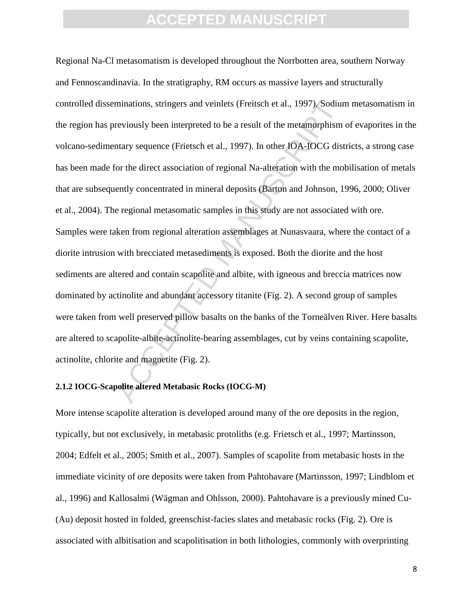minations, stringers and veinlets (Freitsch et al., 1997). Sodium<br>reviously been interpreted to be a result of the metamorphism<br>reviously been interpreted to be a result of the metamorphism<br>intary sequence (Frietsch et al. Regional Na-Cl metasomatism is developed throughout the Norrbotten area, southern Norway and Fennoscandinavia. In the stratigraphy, RM occurs as massive layers and structurally controlled disseminations, stringers and veinlets (Freitsch et al., 1997). Sodium metasomatism in the region has previously been interpreted to be a result of the metamorphism of evaporites in the volcano-sedimentary sequence (Frietsch et al., 1997). In other IOA-IOCG districts, a strong case has been made for the direct association of regional Na-alteration with the mobilisation of metals that are subsequently concentrated in mineral deposits (Barton and Johnson, 1996, 2000; Oliver et al., 2004). The regional metasomatic samples in this study are not associated with ore. Samples were taken from regional alteration assemblages at Nunasvaara, where the contact of a diorite intrusion with brecciated metasediments is exposed. Both the diorite and the host sediments are altered and contain scapolite and albite, with igneous and breccia matrices now dominated by actinolite and abundant accessory titanite (Fig. 2). A second group of samples were taken from well preserved pillow basalts on the banks of the Torneälven River. Here basalts are altered to scapolite-albite-actinolite-bearing assemblages, cut by veins containing scapolite, actinolite, chlorite and magnetite (Fig. 2).

#### **2.1.2 IOCG-Scapolite altered Metabasic Rocks (IOCG-M)**

More intense scapolite alteration is developed around many of the ore deposits in the region, typically, but not exclusively, in metabasic protoliths (e.g. Frietsch et al., 1997; Martinsson, 2004; Edfelt et al., 2005; Smith et al., 2007). Samples of scapolite from metabasic hosts in the immediate vicinity of ore deposits were taken from Pahtohavare (Martinsson, 1997; Lindblom et al., 1996) and Kallosalmi (Wägman and Ohlsson, 2000). Pahtohavare is a previously mined Cu- (Au) deposit hosted in folded, greenschist-facies slates and metabasic rocks (Fig. 2). Ore is associated with albitisation and scapolitisation in both lithologies, commonly with overprinting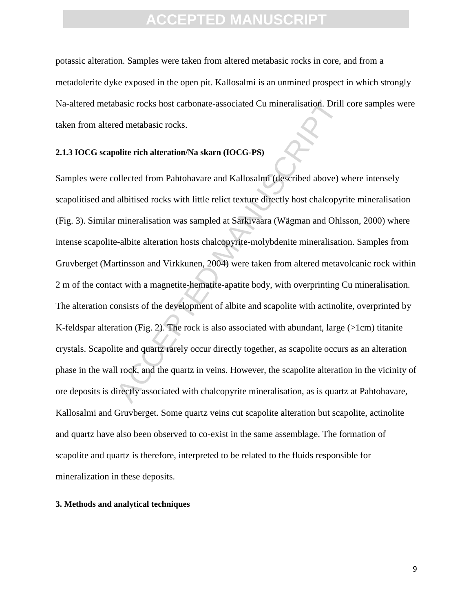potassic alteration. Samples were taken from altered metabasic rocks in core, and from a metadolerite dyke exposed in the open pit. Kallosalmi is an unmined prospect in which strongly Na-altered metabasic rocks host carbonate-associated Cu mineralisation. Drill core samples were taken from altered metabasic rocks.

#### **2.1.3 IOCG scapolite rich alteration/Na skarn (IOCG-PS)**

basic rocks host carbonate-associated Cu mineralisation. Drill<br>ed metabasic rocks.<br>olite rich alteration/Na skarn (IOCG-PS)<br>ollected from Pahtohavare and Kallosalmi (described above) w<br>albitised rocks with little relict te Samples were collected from Pahtohavare and Kallosalmi (described above) where intensely scapolitised and albitised rocks with little relict texture directly host chalcopyrite mineralisation (Fig. 3). Similar mineralisation was sampled at Sarkivaara (Wägman and Ohlsson, 2000) where intense scapolite-albite alteration hosts chalcopyrite-molybdenite mineralisation. Samples from Gruvberget (Martinsson and Virkkunen, 2004) were taken from altered metavolcanic rock within 2 m of the contact with a magnetite-hematite-apatite body, with overprinting Cu mineralisation. The alteration consists of the development of albite and scapolite with actinolite, overprinted by K-feldspar alteration (Fig. 2). The rock is also associated with abundant, large (>1cm) titanite crystals. Scapolite and quartz rarely occur directly together, as scapolite occurs as an alteration phase in the wall rock, and the quartz in veins. However, the scapolite alteration in the vicinity of ore deposits is directly associated with chalcopyrite mineralisation, as is quartz at Pahtohavare, Kallosalmi and Gruvberget. Some quartz veins cut scapolite alteration but scapolite, actinolite and quartz have also been observed to co-exist in the same assemblage. The formation of scapolite and quartz is therefore, interpreted to be related to the fluids responsible for mineralization in these deposits.

#### **3. Methods and analytical techniques**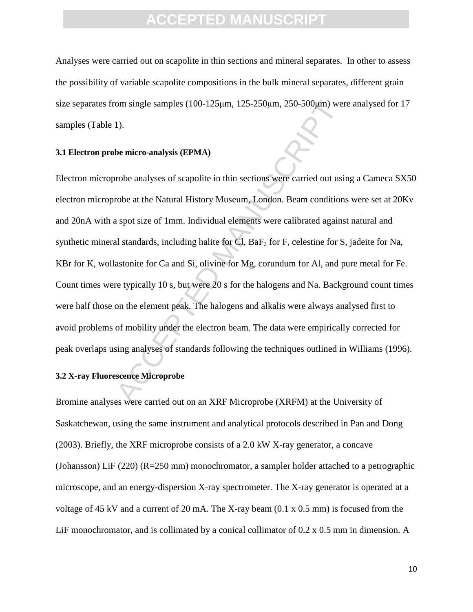Analyses were carried out on scapolite in thin sections and mineral separates. In other to assess the possibility of variable scapolite compositions in the bulk mineral separates, different grain size separates from single samples  $(100-125\mu m, 125-250\mu m, 250-500\mu m)$  were analysed for 17 samples (Table 1).

#### **3.1 Electron probe micro-analysis (EPMA)**

om single samples (100-125µm, 125-250µm, 250-500µm) wer<br>
1).<br>
1).<br>
be micro-analysis (EPMA)<br>
robe analyses of scapolite in thin sections were carried out usi<br>
robe at the Natural History Museum, London. Beam condition<br>
1 s Electron microprobe analyses of scapolite in thin sections were carried out using a Cameca SX50 electron microprobe at the Natural History Museum, London. Beam conditions were set at 20Kv and 20nA with a spot size of 1mm. Individual elements were calibrated against natural and synthetic mineral standards, including halite for Cl,  $BaF_2$  for F, celestine for S, jadeite for Na, KBr for K, wollastonite for Ca and Si, olivine for Mg, corundum for Al, and pure metal for Fe. Count times were typically 10 s, but were 20 s for the halogens and Na. Background count times were half those on the element peak. The halogens and alkalis were always analysed first to avoid problems of mobility under the electron beam. The data were empirically corrected for peak overlaps using analyses of standards following the techniques outlined in Williams (1996).

#### **3.2 X-ray Fluorescence Microprobe**

Bromine analyses were carried out on an XRF Microprobe (XRFM) at the University of Saskatchewan, using the same instrument and analytical protocols described in Pan and Dong (2003). Briefly, the XRF microprobe consists of a 2.0 kW X-ray generator, a concave (Johansson) LiF (220) (R=250 mm) monochromator, a sampler holder attached to a petrographic microscope, and an energy-dispersion X-ray spectrometer. The X-ray generator is operated at a voltage of 45 kV and a current of 20 mA. The X-ray beam (0.1 x 0.5 mm) is focused from the LiF monochromator, and is collimated by a conical collimator of 0.2 x 0.5 mm in dimension. A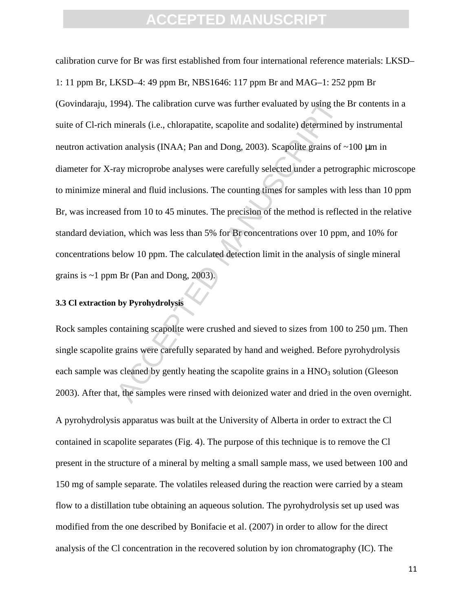994). The calibration curve was further evaluated by using the minerals (i.e., chlorapatite, scapolite and sodalite) determined lon analysis (INAA; Pan and Dong, 2003). Scapolite grains of -<br>ray microprobe analyses were ca calibration curve for Br was first established from four international reference materials: LKSD– 1: 11 ppm Br, LKSD–4: 49 ppm Br, NBS1646: 117 ppm Br and MAG–1: 252 ppm Br (Govindaraju, 1994). The calibration curve was further evaluated by using the Br contents in a suite of Cl-rich minerals (i.e., chlorapatite, scapolite and sodalite) determined by instrumental neutron activation analysis (INAA; Pan and Dong, 2003). Scapolite grains of ~100 µm in diameter for X-ray microprobe analyses were carefully selected under a petrographic microscope to minimize mineral and fluid inclusions. The counting times for samples with less than 10 ppm Br, was increased from 10 to 45 minutes. The precision of the method is reflected in the relative standard deviation, which was less than 5% for Br concentrations over 10 ppm, and 10% for concentrations below 10 ppm. The calculated detection limit in the analysis of single mineral grains is  $\sim$ 1 ppm Br (Pan and Dong, 2003).

#### **3.3 Cl extraction by Pyrohydrolysis**

Rock samples containing scapolite were crushed and sieved to sizes from 100 to 250  $\mu$ m. Then single scapolite grains were carefully separated by hand and weighed. Before pyrohydrolysis each sample was cleaned by gently heating the scapolite grains in a  $HNO<sub>3</sub>$  solution (Gleeson 2003). After that, the samples were rinsed with deionized water and dried in the oven overnight.

A pyrohydrolysis apparatus was built at the University of Alberta in order to extract the Cl contained in scapolite separates (Fig. 4). The purpose of this technique is to remove the Cl present in the structure of a mineral by melting a small sample mass, we used between 100 and 150 mg of sample separate. The volatiles released during the reaction were carried by a steam flow to a distillation tube obtaining an aqueous solution. The pyrohydrolysis set up used was modified from the one described by Bonifacie et al. (2007) in order to allow for the direct analysis of the Cl concentration in the recovered solution by ion chromatography (IC). The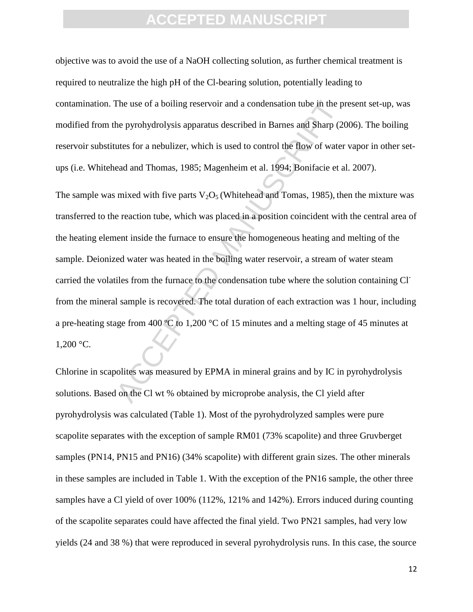objective was to avoid the use of a NaOH collecting solution, as further chemical treatment is required to neutralize the high pH of the Cl-bearing solution, potentially leading to contamination. The use of a boiling reservoir and a condensation tube in the present set-up, was modified from the pyrohydrolysis apparatus described in Barnes and Sharp (2006). The boiling reservoir substitutes for a nebulizer, which is used to control the flow of water vapor in other setups (i.e. Whitehead and Thomas, 1985; Magenheim et al. 1994; Bonifacie et al. 2007).

The use of a boiling reservoir and a condensation tube in the p<br>the pyrohydrolysis apparatus described in Barnes and Sharp (20<br>ttes for a nebulizer, which is used to control the flow of water<br>ead and Thomas, 1985; Magenhe The sample was mixed with five parts  $V_2O_5$  (Whitehead and Tomas, 1985), then the mixture was transferred to the reaction tube, which was placed in a position coincident with the central area of the heating element inside the furnace to ensure the homogeneous heating and melting of the sample. Deionized water was heated in the boiling water reservoir, a stream of water steam carried the volatiles from the furnace to the condensation tube where the solution containing Clfrom the mineral sample is recovered. The total duration of each extraction was 1 hour, including a pre-heating stage from 400 ºC to 1,200 °C of 15 minutes and a melting stage of 45 minutes at  $1,200 °C$ .

Chlorine in scapolites was measured by EPMA in mineral grains and by IC in pyrohydrolysis solutions. Based on the Cl wt % obtained by microprobe analysis, the Cl yield after pyrohydrolysis was calculated (Table 1). Most of the pyrohydrolyzed samples were pure scapolite separates with the exception of sample RM01 (73% scapolite) and three Gruvberget samples (PN14, PN15 and PN16) (34% scapolite) with different grain sizes. The other minerals in these samples are included in Table 1. With the exception of the PN16 sample, the other three samples have a Cl yield of over 100% (112%, 121% and 142%). Errors induced during counting of the scapolite separates could have affected the final yield. Two PN21 samples, had very low yields (24 and 38 %) that were reproduced in several pyrohydrolysis runs. In this case, the source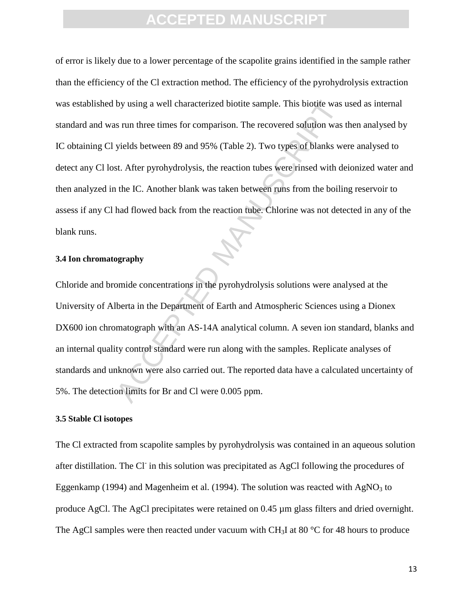by using a well characterized biotite sample. This biotite was is<br>s run three times for comparison. The recovered solution was<br>yields between 89 and 95% (Table 2). Two types of blanks we<br>st. After pyrohydrolysis, the react of error is likely due to a lower percentage of the scapolite grains identified in the sample rather than the efficiency of the Cl extraction method. The efficiency of the pyrohydrolysis extraction was established by using a well characterized biotite sample. This biotite was used as internal standard and was run three times for comparison. The recovered solution was then analysed by IC obtaining Cl yields between 89 and 95% (Table 2). Two types of blanks were analysed to detect any Cl lost. After pyrohydrolysis, the reaction tubes were rinsed with deionized water and then analyzed in the IC. Another blank was taken between runs from the boiling reservoir to assess if any Cl had flowed back from the reaction tube. Chlorine was not detected in any of the blank runs.

#### **3.4 Ion chromatography**

Chloride and bromide concentrations in the pyrohydrolysis solutions were analysed at the University of Alberta in the Department of Earth and Atmospheric Sciences using a Dionex DX600 ion chromatograph with an AS-14A analytical column. A seven ion standard, blanks and an internal quality control standard were run along with the samples. Replicate analyses of standards and unknown were also carried out. The reported data have a calculated uncertainty of 5%. The detection limits for Br and Cl were 0.005 ppm.

#### **3.5 Stable Cl isotopes**

The Cl extracted from scapolite samples by pyrohydrolysis was contained in an aqueous solution after distillation. The Cl in this solution was precipitated as AgCl following the procedures of Eggenkamp (1994) and Magenheim et al. (1994). The solution was reacted with  $AgNO<sub>3</sub>$  to produce AgCl. The AgCl precipitates were retained on 0.45  $\mu$ m glass filters and dried overnight. The AgCl samples were then reacted under vacuum with CH<sub>3</sub>I at 80  $\degree$ C for 48 hours to produce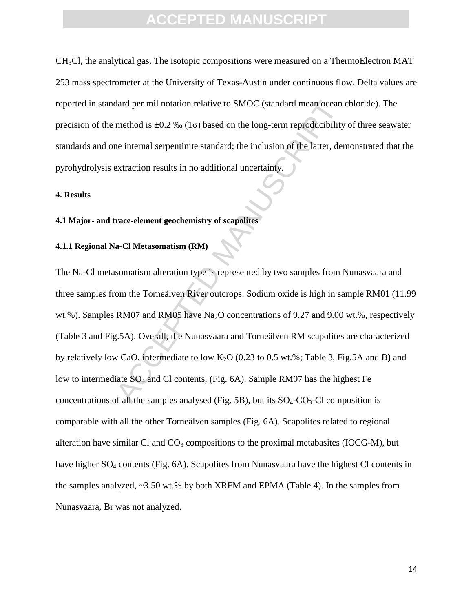CH3Cl, the analytical gas. The isotopic compositions were measured on a ThermoElectron MAT 253 mass spectrometer at the University of Texas-Austin under continuous flow. Delta values are reported in standard per mil notation relative to SMOC (standard mean ocean chloride). The precision of the method is  $\pm 0.2$  ‰ (1 $\sigma$ ) based on the long-term reproducibility of three seawater standards and one internal serpentinite standard; the inclusion of the latter, demonstrated that the pyrohydrolysis extraction results in no additional uncertainty.

#### **4. Results**

#### **4.1 Major- and trace-element geochemistry of scapolites**

#### **4.1.1 Regional Na-Cl Metasomatism (RM)**

dard per mil notation relative to SMOC (standard mean ocean of<br>method is  $\pm 0.2$  ‰ (1 $\sigma$ ) based on the long-term reproducibility<br>ne internal serpentinite standard; the inclusion of the latter, der<br>extraction results in The Na-Cl metasomatism alteration type is represented by two samples from Nunasvaara and three samples from the Torneälven River outcrops. Sodium oxide is high in sample RM01 (11.99 wt.%). Samples RM07 and RM05 have Na<sub>2</sub>O concentrations of 9.27 and 9.00 wt.%, respectively (Table 3 and Fig.5A). Overall, the Nunasvaara and Torneälven RM scapolites are characterized by relatively low CaO, intermediate to low  $K_2O$  (0.23 to 0.5 wt.%; Table 3, Fig.5A and B) and low to intermediate  $SO_4$  and Cl contents, (Fig. 6A). Sample RM07 has the highest Fe concentrations of all the samples analysed (Fig. 5B), but its  $SO_4$ - $CO_3$ - $Cl$  composition is comparable with all the other Torneälven samples (Fig. 6A). Scapolites related to regional alteration have similar Cl and  $CO<sub>3</sub>$  compositions to the proximal metabasites (IOCG-M), but have higher SO<sub>4</sub> contents (Fig. 6A). Scapolites from Nunasvaara have the highest Cl contents in the samples analyzed,  $\sim$ 3.50 wt.% by both XRFM and EPMA (Table 4). In the samples from Nunasvaara, Br was not analyzed.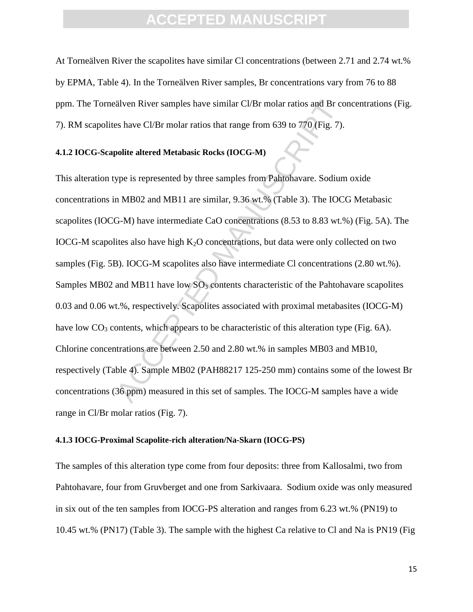At Torneälven River the scapolites have similar Cl concentrations (between 2.71 and 2.74 wt.% by EPMA, Table 4). In the Torneälven River samples, Br concentrations vary from 76 to 88 ppm. The Torneälven River samples have similar Cl/Br molar ratios and Br concentrations (Fig. 7). RM scapolites have Cl/Br molar ratios that range from 639 to 770 (Fig. 7).

#### **4.1.2 IOCG-Scapolite altered Metabasic Rocks (IOCG-M)**

älven River samples have similar Cl/Br molar ratios and Br cons have Cl/Br molar ratios that range from 639 to 770 (Fig. 7).<br>
polite altered Metabasic Rocks (IOCG-M)<br>
ype is represented by three samples from Pahtohavare. S This alteration type is represented by three samples from Pahtohavare. Sodium oxide concentrations in MB02 and MB11 are similar, 9.36 wt.% (Table 3). The IOCG Metabasic scapolites (IOCG-M) have intermediate CaO concentrations (8.53 to 8.83 wt.%) (Fig. 5A). The IOCG-M scapolites also have high  $K_2O$  concentrations, but data were only collected on two samples (Fig. 5B). IOCG-M scapolites also have intermediate Cl concentrations (2.80 wt.%). Samples MB02 and MB11 have low  $SO<sub>3</sub>$  contents characteristic of the Pahtohavare scapolites 0.03 and 0.06 wt.%, respectively. Scapolites associated with proximal metabasites (IOCG-M) have low  $CO<sub>3</sub>$  contents, which appears to be characteristic of this alteration type (Fig. 6A). Chlorine concentrations are between 2.50 and 2.80 wt.% in samples MB03 and MB10, respectively (Table 4). Sample MB02 (PAH88217 125-250 mm) contains some of the lowest Br concentrations (36 ppm) measured in this set of samples. The IOCG-M samples have a wide range in Cl/Br molar ratios (Fig. 7).

#### **4.1.3 IOCG-Proximal Scapolite-rich alteration/Na-Skarn (IOCG-PS)**

The samples of this alteration type come from four deposits: three from Kallosalmi, two from Pahtohavare, four from Gruvberget and one from Sarkivaara. Sodium oxide was only measured in six out of the ten samples from IOCG-PS alteration and ranges from 6.23 wt.% (PN19) to 10.45 wt.% (PN17) (Table 3). The sample with the highest Ca relative to Cl and Na is PN19 (Fig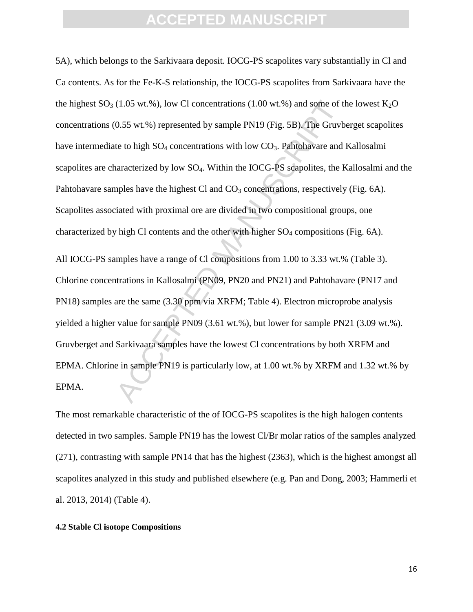5A), which belongs to the Sarkivaara deposit. IOCG-PS scapolites vary substantially in Cl and Ca contents. As for the Fe-K-S relationship, the IOCG-PS scapolites from Sarkivaara have the the highest  $SO_3$  (1.05 wt.%), low Cl concentrations (1.00 wt.%) and some of the lowest K<sub>2</sub>O concentrations (0.55 wt.%) represented by sample PN19 (Fig. 5B). The Gruvberget scapolites have intermediate to high  $SO_4$  concentrations with low  $CO_3$ . Pahtohavare and Kallosalmi scapolites are characterized by low SO<sub>4</sub>. Within the IOCG-PS scapolites, the Kallosalmi and the Pahtohavare samples have the highest Cl and  $CO<sub>3</sub>$  concentrations, respectively (Fig. 6A). Scapolites associated with proximal ore are divided in two compositional groups, one characterized by high Cl contents and the other with higher  $SO_4$  compositions (Fig. 6A).

(1.05 wt.%), low Cl concentrations (1.00 wt.%) and some of the 0.55 wt.%) represented by sample PN19 (Fig. 5B). The Gruvb te to high SO<sub>4</sub> concentrations with low CO<sub>3</sub>. Pahtohavare and naracterized by low SO<sub>4</sub>. Within t All IOCG-PS samples have a range of Cl compositions from 1.00 to 3.33 wt.% (Table 3). Chlorine concentrations in Kallosalmi (PN09, PN20 and PN21) and Pahtohavare (PN17 and PN18) samples are the same (3.30 ppm via XRFM; Table 4). Electron microprobe analysis yielded a higher value for sample PN09 (3.61 wt.%), but lower for sample PN21 (3.09 wt.%). Gruvberget and Sarkivaara samples have the lowest Cl concentrations by both XRFM and EPMA. Chlorine in sample PN19 is particularly low, at 1.00 wt.% by XRFM and 1.32 wt.% by EPMA.

The most remarkable characteristic of the of IOCG-PS scapolites is the high halogen contents detected in two samples. Sample PN19 has the lowest Cl/Br molar ratios of the samples analyzed (271), contrasting with sample PN14 that has the highest (2363), which is the highest amongst all scapolites analyzed in this study and published elsewhere (e.g. Pan and Dong, 2003; Hammerli et al. 2013, 2014) (Table 4).

#### **4.2 Stable Cl isotope Compositions**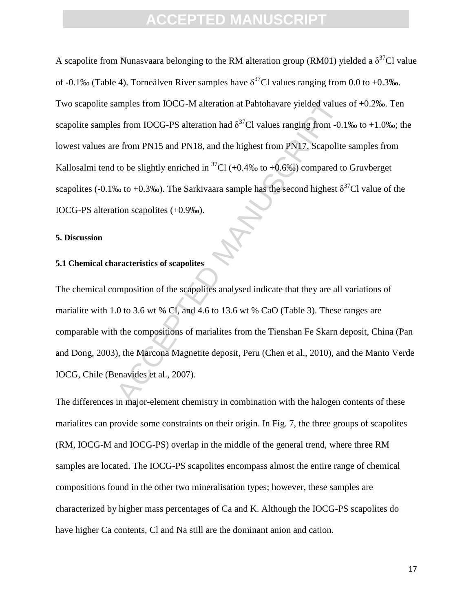amples from IOCG-M alteration at Pahtohavare yielded values<br>
as from IOCG-PS alteration had  $\delta^{37}$ Cl values ranging from -0.1<br>
e from PN15 and PN18, and the highest from PN17. Scapolite<br>
to be slightly enriched in  $^{37}$ A scapolite from Nunasvaara belonging to the RM alteration group (RM01) yielded a  $\delta^{37}$ Cl value of -0.1‰ (Table 4). Torneälven River samples have  $\delta^{37}$ Cl values ranging from 0.0 to +0.3‰. Two scapolite samples from IOCG-M alteration at Pahtohavare yielded values of +0.2‰. Ten scapolite samples from IOCG-PS alteration had  $\delta^{37}$ Cl values ranging from -0.1‰ to +1.0‰; the lowest values are from PN15 and PN18, and the highest from PN17. Scapolite samples from Kallosalmi tend to be slightly enriched in  ${}^{37}$ Cl (+0.4‰ to +0.6‰) compared to Gruvberget scapolites (-0.1‰ to +0.3‰). The Sarkivaara sample has the second highest  $\delta^{37}$ Cl value of the IOCG-PS alteration scapolites (+0.9‰).

#### **5. Discussion**

#### **5.1 Chemical characteristics of scapolites**

The chemical composition of the scapolites analysed indicate that they are all variations of marialite with 1.0 to 3.6 wt % Cl, and 4.6 to 13.6 wt % CaO (Table 3). These ranges are comparable with the compositions of marialites from the Tienshan Fe Skarn deposit, China (Pan and Dong, 2003), the Marcona Magnetite deposit, Peru (Chen et al., 2010), and the Manto Verde IOCG, Chile (Benavides et al., 2007).

The differences in major-element chemistry in combination with the halogen contents of these marialites can provide some constraints on their origin. In Fig. 7, the three groups of scapolites (RM, IOCG-M and IOCG-PS) overlap in the middle of the general trend, where three RM samples are located. The IOCG-PS scapolites encompass almost the entire range of chemical compositions found in the other two mineralisation types; however, these samples are characterized by higher mass percentages of Ca and K. Although the IOCG-PS scapolites do have higher Ca contents, Cl and Na still are the dominant anion and cation.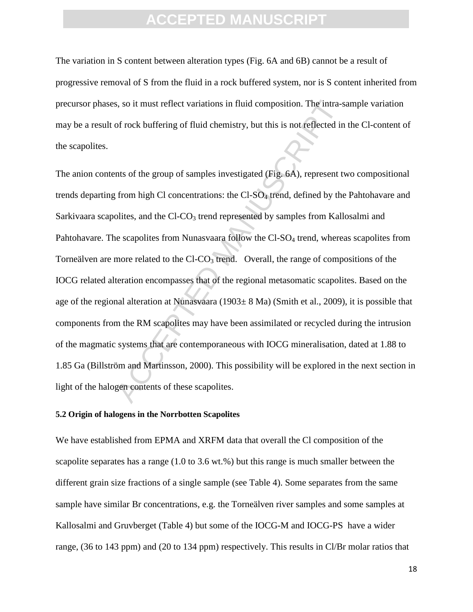The variation in S content between alteration types (Fig. 6A and 6B) cannot be a result of progressive removal of S from the fluid in a rock buffered system, nor is S content inherited from precursor phases, so it must reflect variations in fluid composition. The intra-sample variation may be a result of rock buffering of fluid chemistry, but this is not reflected in the Cl-content of the scapolites.

s, so it must reflect variations in fluid composition. The intra-sof rock buffering of fluid chemistry, but this is not reflected in this of the group of samples investigated (Fig. 6A), represent to from high CI concentrat The anion contents of the group of samples investigated (Fig. 6A), represent two compositional trends departing from high Cl concentrations: the  $CI-SO<sub>4</sub>$  trend, defined by the Pahtohavare and Sarkivaara scapolites, and the  $Cl$ - $CO<sub>3</sub>$  trend represented by samples from Kallosalmi and Pahtohavare. The scapolites from Nunasvaara follow the Cl-SO<sub>4</sub> trend, whereas scapolites from Torneälven are more related to the  $CI$ - $CO<sub>3</sub>$  trend. Overall, the range of compositions of the IOCG related alteration encompasses that of the regional metasomatic scapolites. Based on the age of the regional alteration at Nunasvaara (1903± 8 Ma) (Smith et al., 2009), it is possible that components from the RM scapolites may have been assimilated or recycled during the intrusion of the magmatic systems that are contemporaneous with IOCG mineralisation, dated at 1.88 to 1.85 Ga (Billström and Martinsson, 2000). This possibility will be explored in the next section in light of the halogen contents of these scapolites.

#### **5.2 Origin of halogens in the Norrbotten Scapolites**

We have established from EPMA and XRFM data that overall the Cl composition of the scapolite separates has a range (1.0 to 3.6 wt.%) but this range is much smaller between the different grain size fractions of a single sample (see Table 4). Some separates from the same sample have similar Br concentrations, e.g. the Torneälven river samples and some samples at Kallosalmi and Gruvberget (Table 4) but some of the IOCG-M and IOCG-PS have a wider range, (36 to 143 ppm) and (20 to 134 ppm) respectively. This results in Cl/Br molar ratios that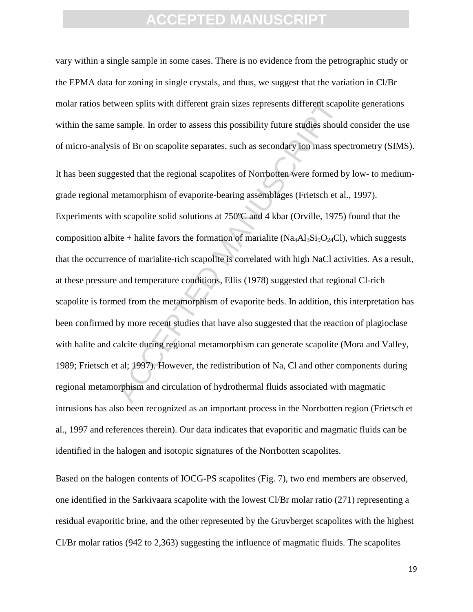ween splits with different grain sizes represents different scape<br>sample. In order to assess this possibility future studies should<br>is of Br on scapolite separates, such as secondary ion mass spe<br>ested that the regional sc vary within a single sample in some cases. There is no evidence from the petrographic study or the EPMA data for zoning in single crystals, and thus, we suggest that the variation in Cl/Br molar ratios between splits with different grain sizes represents different scapolite generations within the same sample. In order to assess this possibility future studies should consider the use of micro-analysis of Br on scapolite separates, such as secondary ion mass spectrometry (SIMS). It has been suggested that the regional scapolites of Norrbotten were formed by low- to mediumgrade regional metamorphism of evaporite-bearing assemblages (Frietsch et al., 1997). Experiments with scapolite solid solutions at 750ºC and 4 kbar (Orville, 1975) found that the composition albite + halite favors the formation of marialite (Na<sub>4</sub>Al<sub>3</sub>Si<sub>9</sub>O<sub>24</sub>Cl), which suggests that the occurrence of marialite-rich scapolite is correlated with high NaCl activities. As a result, at these pressure and temperature conditions, Ellis (1978) suggested that regional Cl-rich scapolite is formed from the metamorphism of evaporite beds. In addition, this interpretation has been confirmed by more recent studies that have also suggested that the reaction of plagioclase with halite and calcite during regional metamorphism can generate scapolite (Mora and Valley, 1989; Frietsch et al; 1997). However, the redistribution of Na, Cl and other components during regional metamorphism and circulation of hydrothermal fluids associated with magmatic intrusions has also been recognized as an important process in the Norrbotten region (Frietsch et al., 1997 and references therein). Our data indicates that evaporitic and magmatic fluids can be identified in the halogen and isotopic signatures of the Norrbotten scapolites.

Based on the halogen contents of IOCG-PS scapolites (Fig. 7), two end members are observed, one identified in the Sarkivaara scapolite with the lowest Cl/Br molar ratio (271) representing a residual evaporitic brine, and the other represented by the Gruvberget scapolites with the highest Cl/Br molar ratios (942 to 2,363) suggesting the influence of magmatic fluids. The scapolites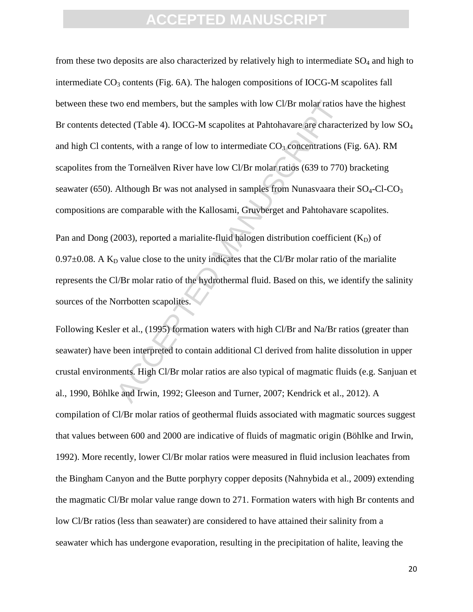wo end members, but the samples with low Cl/Br molar ratios<br>cted (Table 4). IOCG-M scapolites at Pahtohavare are charact<br>tents, with a range of low to intermediate CO<sub>3</sub> concentrations (<br>the Torneälven River have low Cl/B from these two deposits are also characterized by relatively high to intermediate  $SO<sub>4</sub>$  and high to intermediate  $CO<sub>3</sub>$  contents (Fig. 6A). The halogen compositions of IOCG-M scapolites fall between these two end members, but the samples with low Cl/Br molar ratios have the highest Br contents detected (Table 4). IOCG-M scapolites at Pahtohavare are characterized by low SO<sub>4</sub> and high Cl contents, with a range of low to intermediate  $CO<sub>3</sub>$  concentrations (Fig. 6A). RM scapolites from the Torneälven River have low Cl/Br molar ratios (639 to 770) bracketing seawater (650). Although Br was not analysed in samples from Nunasvaara their  $SO_4$ -Cl-CO<sub>3</sub> compositions are comparable with the Kallosami, Gruvberget and Pahtohavare scapolites.

Pan and Dong (2003), reported a marialite-fluid halogen distribution coefficient  $(K_D)$  of  $0.97\pm0.08$ . A K<sub>D</sub> value close to the unity indicates that the Cl/Br molar ratio of the marialite represents the Cl/Br molar ratio of the hydrothermal fluid. Based on this, we identify the salinity sources of the Norrbotten scapolites.

Following Kesler et al., (1995) formation waters with high Cl/Br and Na/Br ratios (greater than seawater) have been interpreted to contain additional Cl derived from halite dissolution in upper crustal environments. High Cl/Br molar ratios are also typical of magmatic fluids (e.g. Sanjuan et al., 1990, Böhlke and Irwin, 1992; Gleeson and Turner, 2007; Kendrick et al., 2012). A compilation of Cl/Br molar ratios of geothermal fluids associated with magmatic sources suggest that values between 600 and 2000 are indicative of fluids of magmatic origin (Böhlke and Irwin, 1992). More recently, lower Cl/Br molar ratios were measured in fluid inclusion leachates from the Bingham Canyon and the Butte porphyry copper deposits (Nahnybida et al., 2009) extending the magmatic Cl/Br molar value range down to 271. Formation waters with high Br contents and low Cl/Br ratios (less than seawater) are considered to have attained their salinity from a seawater which has undergone evaporation, resulting in the precipitation of halite, leaving the

20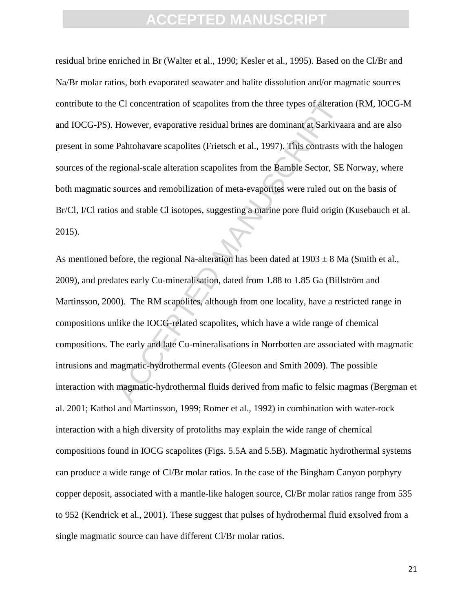residual brine enriched in Br (Walter et al., 1990; Kesler et al., 1995). Based on the Cl/Br and Na/Br molar ratios, both evaporated seawater and halite dissolution and/or magmatic sources contribute to the Cl concentration of scapolites from the three types of alteration (RM, IOCG-M and IOCG-PS). However, evaporative residual brines are dominant at Sarkivaara and are also present in some Pahtohavare scapolites (Frietsch et al., 1997). This contrasts with the halogen sources of the regional-scale alteration scapolites from the Bamble Sector, SE Norway, where both magmatic sources and remobilization of meta-evaporites were ruled out on the basis of Br/Cl, I/Cl ratios and stable Cl isotopes, suggesting a marine pore fluid origin (Kusebauch et al. 2015).

CI concentration of scapolites from the three types of alteratio<br>However, evaporative residual brines are dominant at Sarkivar<br>Pahtohavare scapolites (Frietsch et al., 1997). This contrasts w<br>gional-scale alteration scapo As mentioned before, the regional Na-alteration has been dated at  $1903 \pm 8$  Ma (Smith et al., 2009), and predates early Cu-mineralisation, dated from 1.88 to 1.85 Ga (Billström and Martinsson, 2000). The RM scapolites, although from one locality, have a restricted range in compositions unlike the IOCG-related scapolites, which have a wide range of chemical compositions. The early and late Cu-mineralisations in Norrbotten are associated with magmatic intrusions and magmatic-hydrothermal events (Gleeson and Smith 2009). The possible interaction with magmatic-hydrothermal fluids derived from mafic to felsic magmas (Bergman et al. 2001; Kathol and Martinsson, 1999; Romer et al., 1992) in combination with water-rock interaction with a high diversity of protoliths may explain the wide range of chemical compositions found in IOCG scapolites (Figs. 5.5A and 5.5B). Magmatic hydrothermal systems can produce a wide range of Cl/Br molar ratios. In the case of the Bingham Canyon porphyry copper deposit, associated with a mantle-like halogen source, Cl/Br molar ratios range from 535 to 952 (Kendrick et al., 2001). These suggest that pulses of hydrothermal fluid exsolved from a single magmatic source can have different Cl/Br molar ratios.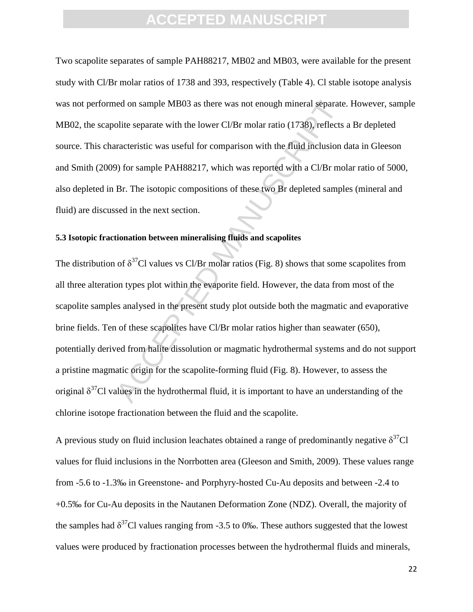Two scapolite separates of sample PAH88217, MB02 and MB03, were available for the present study with Cl/Br molar ratios of 1738 and 393, respectively (Table 4). Cl stable isotope analysis was not performed on sample MB03 as there was not enough mineral separate. However, sample MB02, the scapolite separate with the lower Cl/Br molar ratio (1738), reflects a Br depleted source. This characteristic was useful for comparison with the fluid inclusion data in Gleeson and Smith (2009) for sample PAH88217, which was reported with a Cl/Br molar ratio of 5000, also depleted in Br. The isotopic compositions of these two Br depleted samples (mineral and fluid) are discussed in the next section.

#### **5.3 Isotopic fractionation between mineralising fluids and scapolites**

ned on sample MB03 as there was not enough mineral separate<br>olite separate with the lower Cl/Br molar ratio (1738), reflects<br>racteristic was useful for comparison with the fluid inclusion of<br>a) for sample PAH88217, which w The distribution of  $\delta^{37}$ Cl values vs Cl/Br molar ratios (Fig. 8) shows that some scapolites from all three alteration types plot within the evaporite field. However, the data from most of the scapolite samples analysed in the present study plot outside both the magmatic and evaporative brine fields. Ten of these scapolites have Cl/Br molar ratios higher than seawater (650), potentially derived from halite dissolution or magmatic hydrothermal systems and do not support a pristine magmatic origin for the scapolite-forming fluid (Fig. 8). However, to assess the original  $\delta^{37}$ Cl values in the hydrothermal fluid, it is important to have an understanding of the chlorine isotope fractionation between the fluid and the scapolite.

A previous study on fluid inclusion leachates obtained a range of predominantly negative  $\delta^{37}Cl$ values for fluid inclusions in the Norrbotten area (Gleeson and Smith, 2009). These values range from -5.6 to -1.3‰ in Greenstone- and Porphyry-hosted Cu-Au deposits and between -2.4 to +0.5‰ for Cu-Au deposits in the Nautanen Deformation Zone (NDZ). Overall, the majority of the samples had  $\delta^{37}$ Cl values ranging from -3.5 to 0‰. These authors suggested that the lowest values were produced by fractionation processes between the hydrothermal fluids and minerals,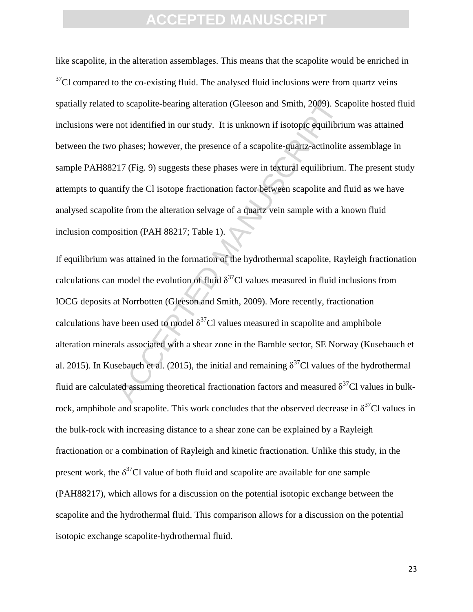like scapolite, in the alteration assemblages. This means that the scapolite would be enriched in  $37$ Cl compared to the co-existing fluid. The analysed fluid inclusions were from quartz veins spatially related to scapolite-bearing alteration (Gleeson and Smith, 2009). Scapolite hosted fluid inclusions were not identified in our study. It is unknown if isotopic equilibrium was attained between the two phases; however, the presence of a scapolite-quartz-actinolite assemblage in sample PAH88217 (Fig. 9) suggests these phases were in textural equilibrium. The present study attempts to quantify the Cl isotope fractionation factor between scapolite and fluid as we have analysed scapolite from the alteration selvage of a quartz vein sample with a known fluid inclusion composition (PAH 88217; Table 1).

to scapolite-bearing alteration (Gleeson and Smith, 2009). Scan not identified in our study. It is unknown if isotopic equilibrium phases; however, the presence of a scapolite-quartz-actinolite phases; however, the presen If equilibrium was attained in the formation of the hydrothermal scapolite, Rayleigh fractionation calculations can model the evolution of fluid  $\delta^{37}$ Cl values measured in fluid inclusions from IOCG deposits at Norrbotten (Gleeson and Smith, 2009). More recently, fractionation calculations have been used to model  $\delta^{37}$ Cl values measured in scapolite and amphibole alteration minerals associated with a shear zone in the Bamble sector, SE Norway (Kusebauch et al. 2015). In Kusebauch et al. (2015), the initial and remaining  $\delta^{37}$ Cl values of the hydrothermal fluid are calculated assuming theoretical fractionation factors and measured  $\delta^{37}$ Cl values in bulkrock, amphibole and scapolite. This work concludes that the observed decrease in  $\delta^{37}$ Cl values in the bulk-rock with increasing distance to a shear zone can be explained by a Rayleigh fractionation or a combination of Rayleigh and kinetic fractionation. Unlike this study, in the present work, the  $\delta^{37}$ Cl value of both fluid and scapolite are available for one sample (PAH88217), which allows for a discussion on the potential isotopic exchange between the scapolite and the hydrothermal fluid. This comparison allows for a discussion on the potential isotopic exchange scapolite-hydrothermal fluid.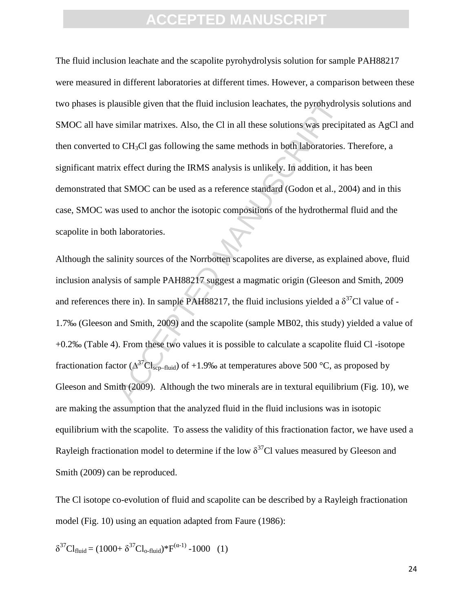The fluid inclusion leachate and the scapolite pyrohydrolysis solution for sample PAH88217 were measured in different laboratories at different times. However, a comparison between these two phases is plausible given that the fluid inclusion leachates, the pyrohydrolysis solutions and SMOC all have similar matrixes. Also, the Cl in all these solutions was precipitated as AgCl and then converted to  $CH<sub>3</sub>Cl$  gas following the same methods in both laboratories. Therefore, a significant matrix effect during the IRMS analysis is unlikely. In addition, it has been demonstrated that SMOC can be used as a reference standard (Godon et al., 2004) and in this case, SMOC was used to anchor the isotopic compositions of the hydrothermal fluid and the scapolite in both laboratories.

ausible given that the fluid inclusion leachates, the pyrohydrol<br>similar matrixes. Also, the CI in all these solutions was precip<br>o CH<sub>3</sub>C1 gas following the same methods in both laboratories.<br>ix effect during the IRMS an Although the salinity sources of the Norrbotten scapolites are diverse, as explained above, fluid inclusion analysis of sample PAH88217 suggest a magmatic origin (Gleeson and Smith, 2009 and references there in). In sample PAH88217, the fluid inclusions yielded a  $\delta^{37}$ Cl value of -1.7‰ (Gleeson and Smith, 2009) and the scapolite (sample MB02, this study) yielded a value of +0.2‰ (Table 4). From these two values it is possible to calculate a scapolite fluid Cl -isotope fractionation factor ( $\Delta^{37}Cl_{\text{sep-fluid}}$ ) of +1.9‰ at temperatures above 500 °C, as proposed by Gleeson and Smith (2009). Although the two minerals are in textural equilibrium (Fig. 10), we are making the assumption that the analyzed fluid in the fluid inclusions was in isotopic equilibrium with the scapolite. To assess the validity of this fractionation factor, we have used a Rayleigh fractionation model to determine if the low  $\delta^{37}$ Cl values measured by Gleeson and Smith (2009) can be reproduced.

The Cl isotope co-evolution of fluid and scapolite can be described by a Rayleigh fractionation model (Fig. 10) using an equation adapted from Faure (1986):

$$
\delta^{37}Cl_{fluid} = (1000 + \delta^{37}Cl_{o\text{-fluid}}) * F^{(\alpha-1)} - 1000 \quad (1)
$$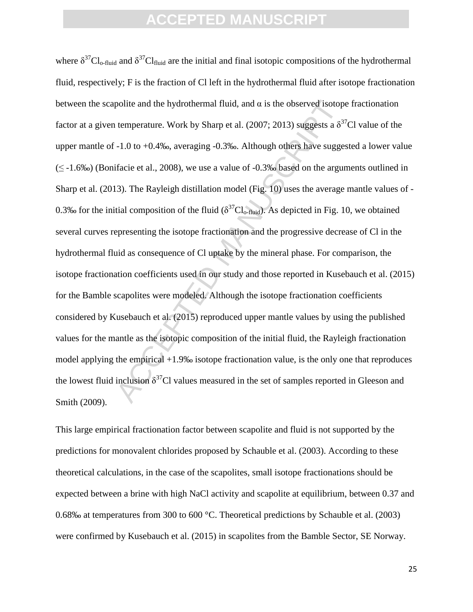polite and the hydrothermal fluid, and  $\alpha$  is the observed isotop<br>temperature. Work by Sharp et al. (2007; 2013) suggests a  $\delta^{37}$ <br>-1.0 to +0.4‰, averaging -0.3‰. Although others have sugges<br>tifacie et al., 2008), we u where  $\delta^{37}Cl_{\text{o-fluid}}$  and  $\delta^{37}Cl_{\text{fluid}}$  are the initial and final isotopic compositions of the hydrothermal fluid, respectively; F is the fraction of Cl left in the hydrothermal fluid after isotope fractionation between the scapolite and the hydrothermal fluid, and  $\alpha$  is the observed isotope fractionation factor at a given temperature. Work by Sharp et al. (2007; 2013) suggests a  $\delta^{37}$ Cl value of the upper mantle of -1.0 to +0.4‰, averaging -0.3‰. Although others have suggested a lower value  $(\leq -1.6\%)$  (Bonifacie et al., 2008), we use a value of  $-0.3\%$  based on the arguments outlined in Sharp et al. (2013). The Rayleigh distillation model (Fig. 10) uses the average mantle values of - 0.3‰ for the initial composition of the fluid ( $\delta^{37}Cl_{\text{o-fluid}}$ ). As depicted in Fig. 10, we obtained several curves representing the isotope fractionation and the progressive decrease of Cl in the hydrothermal fluid as consequence of Cl uptake by the mineral phase. For comparison, the isotope fractionation coefficients used in our study and those reported in Kusebauch et al. (2015) for the Bamble scapolites were modeled. Although the isotope fractionation coefficients considered by Kusebauch et al. (2015) reproduced upper mantle values by using the published values for the mantle as the isotopic composition of the initial fluid, the Rayleigh fractionation model applying the empirical +1.9‰ isotope fractionation value, is the only one that reproduces the lowest fluid inclusion  $\delta^{37}$ Cl values measured in the set of samples reported in Gleeson and Smith (2009).

This large empirical fractionation factor between scapolite and fluid is not supported by the predictions for monovalent chlorides proposed by Schauble et al. (2003). According to these theoretical calculations, in the case of the scapolites, small isotope fractionations should be expected between a brine with high NaCl activity and scapolite at equilibrium, between 0.37 and 0.68‰ at temperatures from 300 to 600 °C. Theoretical predictions by Schauble et al. (2003) were confirmed by Kusebauch et al. (2015) in scapolites from the Bamble Sector, SE Norway.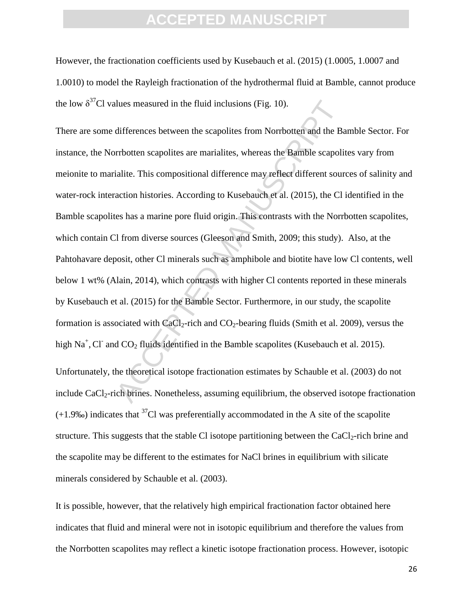However, the fractionation coefficients used by Kusebauch et al. (2015) (1.0005, 1.0007 and 1.0010) to model the Rayleigh fractionation of the hydrothermal fluid at Bamble, cannot produce the low  $\delta^{37}$ Cl values measured in the fluid inclusions (Fig. 10).

lues measured in the fluid inclusions (Fig. 10).<br>differences between the scapolites from Norrbotten and the Ba<br>rrbotten scapolites are marialites, whereas the Bamble scapoli<br>ialite. This compositional difference may reflec There are some differences between the scapolites from Norrbotten and the Bamble Sector. For instance, the Norrbotten scapolites are marialites, whereas the Bamble scapolites vary from meionite to marialite. This compositional difference may reflect different sources of salinity and water-rock interaction histories. According to Kusebauch et al. (2015), the Cl identified in the Bamble scapolites has a marine pore fluid origin. This contrasts with the Norrbotten scapolites, which contain Cl from diverse sources (Gleeson and Smith, 2009; this study). Also, at the Pahtohavare deposit, other Cl minerals such as amphibole and biotite have low Cl contents, well below 1 wt% (Alain, 2014), which contrasts with higher Cl contents reported in these minerals by Kusebauch et al. (2015) for the Bamble Sector. Furthermore, in our study, the scapolite formation is associated with  $CaCl<sub>2</sub>$ -rich and  $CO<sub>2</sub>$ -bearing fluids (Smith et al. 2009), versus the high  $Na<sup>+</sup>, CI<sup>-</sup>$  and  $CO<sub>2</sub>$  fluids identified in the Bamble scapolites (Kusebauch et al. 2015).

Unfortunately, the theoretical isotope fractionation estimates by Schauble et al. (2003) do not include  $CaCl<sub>2</sub>-rich brines. Nonetheless, assuming equilibrium, the observed isotope fractionation$  $(+1.9\%)$  indicates that <sup>37</sup>Cl was preferentially accommodated in the A site of the scapolite structure. This suggests that the stable Cl isotope partitioning between the CaCl<sub>2</sub>-rich brine and the scapolite may be different to the estimates for NaCl brines in equilibrium with silicate minerals considered by Schauble et al. (2003).

It is possible, however, that the relatively high empirical fractionation factor obtained here indicates that fluid and mineral were not in isotopic equilibrium and therefore the values from the Norrbotten scapolites may reflect a kinetic isotope fractionation process. However, isotopic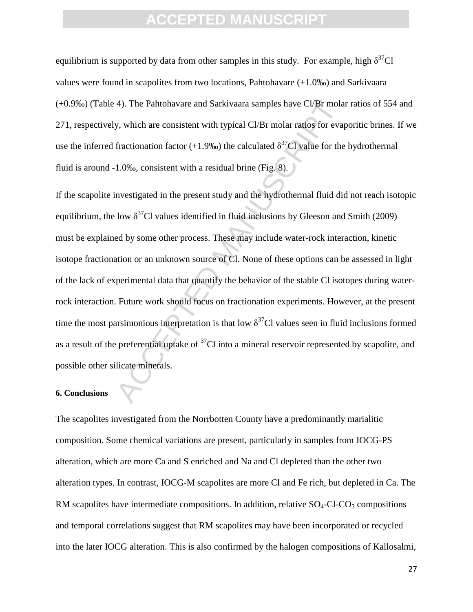equilibrium is supported by data from other samples in this study. For example, high  $\delta^{37}Cl$ values were found in scapolites from two locations, Pahtohavare (+1.0‰) and Sarkivaara (+0.9‰) (Table 4). The Pahtohavare and Sarkivaara samples have Cl/Br molar ratios of 554 and 271, respectively, which are consistent with typical Cl/Br molar ratios for evaporitic brines. If we use the inferred fractionation factor (+1.9‰) the calculated  $\delta^{37}$ Cl value for the hydrothermal fluid is around -1.0‰, consistent with a residual brine (Fig. 8).

4). The Pahtohavare and Sarkivaara samples have Cl/Br molar<br>y, which are consistent with typical Cl/Br molar ratios for evary<br>fractionation factor (+1.9‰) the calculated  $\delta^{37}$ Cl value for the<br>1.0‰, consistent with a re If the scapolite investigated in the present study and the hydrothermal fluid did not reach isotopic equilibrium, the low  $\delta^{37}$ Cl values identified in fluid inclusions by Gleeson and Smith (2009) must be explained by some other process. These may include water-rock interaction, kinetic isotope fractionation or an unknown source of Cl. None of these options can be assessed in light of the lack of experimental data that quantify the behavior of the stable Cl isotopes during waterrock interaction. Future work should focus on fractionation experiments. However, at the present time the most parsimonious interpretation is that low  $\delta^{37}$ Cl values seen in fluid inclusions formed as a result of the preferential uptake of  ${}^{37}$ Cl into a mineral reservoir represented by scapolite, and possible other silicate minerals.

#### **6. Conclusions**

The scapolites investigated from the Norrbotten County have a predominantly marialitic composition. Some chemical variations are present, particularly in samples from IOCG-PS alteration, which are more Ca and S enriched and Na and Cl depleted than the other two alteration types. In contrast, IOCG-M scapolites are more Cl and Fe rich, but depleted in Ca. The RM scapolites have intermediate compositions. In addition, relative  $SO_4$ -Cl-CO<sub>3</sub> compositions and temporal correlations suggest that RM scapolites may have been incorporated or recycled into the later IOCG alteration. This is also confirmed by the halogen compositions of Kallosalmi,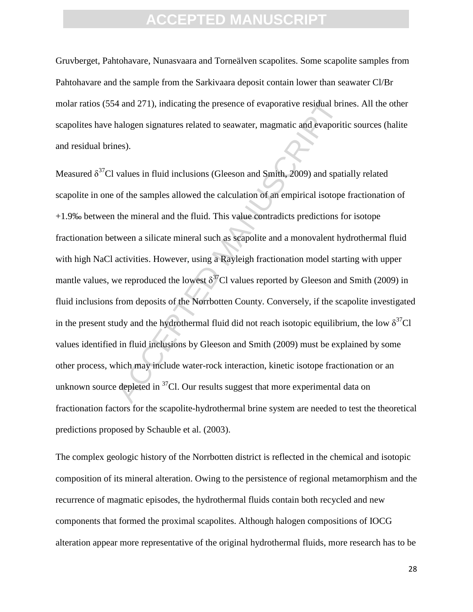Gruvberget, Pahtohavare, Nunasvaara and Torneälven scapolites. Some scapolite samples from Pahtohavare and the sample from the Sarkivaara deposit contain lower than seawater Cl/Br molar ratios (554 and 271), indicating the presence of evaporative residual brines. All the other scapolites have halogen signatures related to seawater, magmatic and evaporitic sources (halite and residual brines).

4 and 271), indicating the presence of evaporative residual britand<br>phalogen signatures related to seawater, magmatic and evaporitives).<br>
Nalues in fluid inclusions (Gleeson and Smith, 2009) and spation<br>
of the samples al Measured  $\delta^{37}$ Cl values in fluid inclusions (Gleeson and Smith, 2009) and spatially related scapolite in one of the samples allowed the calculation of an empirical isotope fractionation of +1.9‰ between the mineral and the fluid. This value contradicts predictions for isotope fractionation between a silicate mineral such as scapolite and a monovalent hydrothermal fluid with high NaCl activities. However, using a Rayleigh fractionation model starting with upper mantle values, we reproduced the lowest  $\delta^{37}$ Cl values reported by Gleeson and Smith (2009) in fluid inclusions from deposits of the Norrbotten County. Conversely, if the scapolite investigated in the present study and the hydrothermal fluid did not reach isotopic equilibrium, the low  $\delta^{37}Cl$ values identified in fluid inclusions by Gleeson and Smith (2009) must be explained by some other process, which may include water-rock interaction, kinetic isotope fractionation or an unknown source depleted in  ${}^{37}$ Cl. Our results suggest that more experimental data on fractionation factors for the scapolite-hydrothermal brine system are needed to test the theoretical predictions proposed by Schauble et al. (2003).

The complex geologic history of the Norrbotten district is reflected in the chemical and isotopic composition of its mineral alteration. Owing to the persistence of regional metamorphism and the recurrence of magmatic episodes, the hydrothermal fluids contain both recycled and new components that formed the proximal scapolites. Although halogen compositions of IOCG alteration appear more representative of the original hydrothermal fluids, more research has to be

28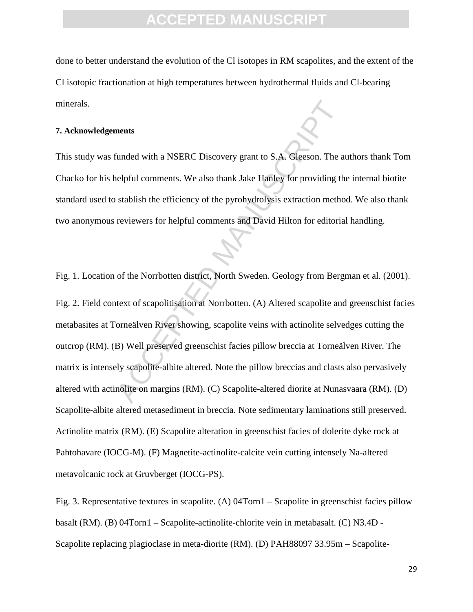done to better understand the evolution of the Cl isotopes in RM scapolites, and the extent of the Cl isotopic fractionation at high temperatures between hydrothermal fluids and Cl-bearing minerals.

#### **7. Acknowledgements**

This study was funded with a NSERC Discovery grant to S.A. Gleeson. The authors thank Tom Chacko for his helpful comments. We also thank Jake Hanley for providing the internal biotite standard used to stablish the efficiency of the pyrohydrolysis extraction method. We also thank two anonymous reviewers for helpful comments and David Hilton for editorial handling.

Fig. 1. Location of the Norrbotten district, North Sweden. Geology from Bergman et al. (2001).

ments<br>
funded with a NSERC Discovery grant to S.A. Gleeson. The a<br>
relpful comments. We also thank Jake Hanley for providing the<br>
stablish the efficiency of the pyrohydrolysis extraction metho<br>
reviewers for helpful commen Fig. 2. Field context of scapolitisation at Norrbotten. (A) Altered scapolite and greenschist facies metabasites at Torneälven River showing, scapolite veins with actinolite selvedges cutting the outcrop (RM). (B) Well preserved greenschist facies pillow breccia at Torneälven River. The matrix is intensely scapolite-albite altered. Note the pillow breccias and clasts also pervasively altered with actinolite on margins (RM). (C) Scapolite-altered diorite at Nunasvaara (RM). (D) Scapolite-albite altered metasediment in breccia. Note sedimentary laminations still preserved. Actinolite matrix (RM). (E) Scapolite alteration in greenschist facies of dolerite dyke rock at Pahtohavare (IOCG-M). (F) Magnetite-actinolite-calcite vein cutting intensely Na-altered metavolcanic rock at Gruvberget (IOCG-PS).

Fig. 3. Representative textures in scapolite. (A) 04Torn1 – Scapolite in greenschist facies pillow basalt (RM). (B) 04Torn1 – Scapolite-actinolite-chlorite vein in metabasalt. (C) N3.4D - Scapolite replacing plagioclase in meta-diorite (RM). (D) PAH88097 33.95m – Scapolite-

29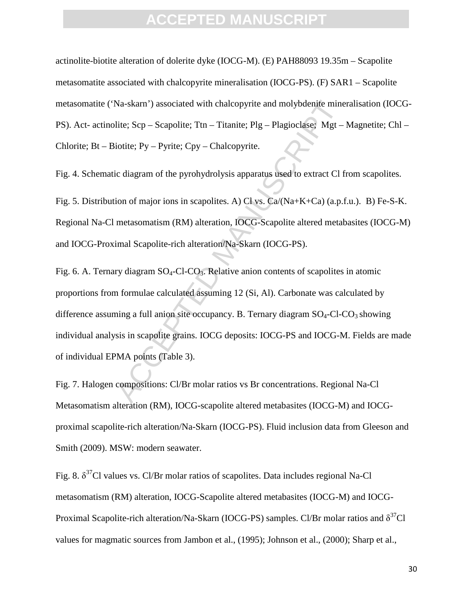actinolite-biotite alteration of dolerite dyke (IOCG-M). (E) PAH88093 19.35m – Scapolite metasomatite associated with chalcopyrite mineralisation (IOCG-PS). (F) SAR1 – Scapolite metasomatite ('Na-skarn') associated with chalcopyrite and molybdenite mineralisation (IOCG-PS). Act- actinolite; Scp – Scapolite; Ttn – Titanite; Plg – Plagioclase; Mgt – Magnetite; Chl – Chlorite;  $Bt - Bioitie$ ;  $Py - Pyrite$ ;  $Cpy - Chalcopyrite$ .

Fig. 4. Schematic diagram of the pyrohydrolysis apparatus used to extract Cl from scapolites.

Fig. 5. Distribution of major ions in scapolites. A) Cl vs. Ca/(Na+K+Ca) (a.p.f.u.). B) Fe-S-K. Regional Na-Cl metasomatism (RM) alteration, IOCG-Scapolite altered metabasites (IOCG-M) and IOCG-Proximal Scapolite-rich alteration/Na-Skarn (IOCG-PS).

Na-skarn') associated with chalcopyrite and molybdenite mine<br>lite; Scp – Scapolite; Ttn – Titanite; Plg – Plagioclase; Mgt –<br>iotite; Py – Pyrite; Cpy – Chalcopyrite.<br>ic diagram of the pyrohydrolysis apparatus used to extr Fig. 6. A. Ternary diagram  $SO_4$ -Cl-CO<sub>3</sub>. Relative anion contents of scapolites in atomic proportions from formulae calculated assuming 12 (Si, Al). Carbonate was calculated by difference assuming a full anion site occupancy. B. Ternary diagram  $SO_4$ -Cl-CO<sub>3</sub> showing individual analysis in scapolite grains. IOCG deposits: IOCG-PS and IOCG-M. Fields are made of individual EPMA points (Table 3).

Fig. 7. Halogen compositions: Cl/Br molar ratios vs Br concentrations. Regional Na-Cl Metasomatism alteration (RM), IOCG-scapolite altered metabasites (IOCG-M) and IOCGproximal scapolite-rich alteration/Na-Skarn (IOCG-PS). Fluid inclusion data from Gleeson and Smith (2009). MSW: modern seawater.

Fig. 8.  $\delta^{37}$ Cl values vs. Cl/Br molar ratios of scapolites. Data includes regional Na-Cl metasomatism (RM) alteration, IOCG-Scapolite altered metabasites (IOCG-M) and IOCG-Proximal Scapolite-rich alteration/Na-Skarn (IOCG-PS) samples. Cl/Br molar ratios and  $\delta^{37}$ Cl values for magmatic sources from Jambon et al., (1995); Johnson et al., (2000); Sharp et al.,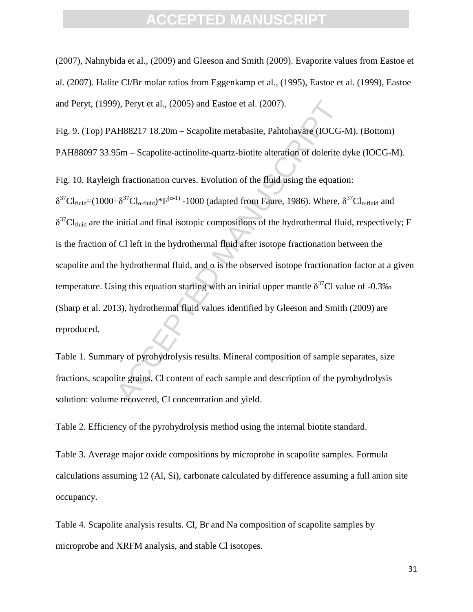(2007), Nahnybida et al., (2009) and Gleeson and Smith (2009). Evaporite values from Eastoe et al. (2007). Halite Cl/Br molar ratios from Eggenkamp et al., (1995), Eastoe et al. (1999), Eastoe and Peryt, (1999), Peryt et al., (2005) and Eastoe et al. (2007).

Fig. 9. (Top) PAH88217 18.20m – Scapolite metabasite, Pahtohavare (IOCG-M). (Bottom) PAH88097 33.95m – Scapolite-actinolite-quartz-biotite alteration of dolerite dyke (IOCG-M).

b), Peryt et al., (2005) and Eastoe et al. (2007).<br>
H88217 18.20m – Scapolite metabasite, Pahtohavare (IOCG-<br>
56 – Scapolite-actinolite-quartz-biotite alteration of dolerite d<br>
h fractionation curves. Evolution of the flu Fig. 10. Rayleigh fractionation curves. Evolution of the fluid using the equation:  $\delta^{37}Cl_{fluid} = (1000 + \delta^{37}Cl_{o-fluid})^*F^{(\alpha-1)}$  -1000 (adapted from Faure, 1986). Where,  $\delta^{37}Cl_{o-fluid}$  and  $\delta^{37}Cl_{fluid}$  are the initial and final isotopic compositions of the hydrothermal fluid, respectively; F is the fraction of Cl left in the hydrothermal fluid after isotope fractionation between the scapolite and the hydrothermal fluid, and  $\alpha$  is the observed isotope fractionation factor at a given temperature. Using this equation starting with an initial upper mantle  $\delta^{37}$ Cl value of -0.3‰ (Sharp et al. 2013), hydrothermal fluid values identified by Gleeson and Smith (2009) are reproduced.

Table 1. Summary of pyrohydrolysis results. Mineral composition of sample separates, size fractions, scapolite grains, Cl content of each sample and description of the pyrohydrolysis solution: volume recovered, Cl concentration and yield.

Table 2. Efficiency of the pyrohydrolysis method using the internal biotite standard.

Table 3. Average major oxide compositions by microprobe in scapolite samples. Formula calculations assuming 12 (Al, Si), carbonate calculated by difference assuming a full anion site occupancy.

Table 4. Scapolite analysis results. Cl, Br and Na composition of scapolite samples by microprobe and XRFM analysis, and stable Cl isotopes.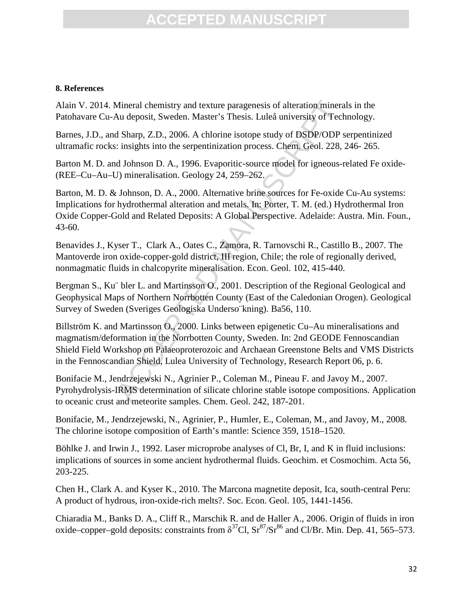#### **8. References**

Alain V. 2014. Mineral chemistry and texture paragenesis of alteration minerals in the Patohavare Cu-Au deposit, Sweden. Master's Thesis. Luleå university of Technology.

Barnes, J.D., and Sharp, Z.D., 2006. A chlorine isotope study of DSDP/ODP serpentinized ultramafic rocks: insights into the serpentinization process. Chem. Geol. 228, 246- 265.

Barton M. D. and Johnson D. A., 1996. Evaporitic-source model for igneous-related Fe oxide- (REE–Cu–Au–U) mineralisation. Geology 24, 259–262.

Mineral chemistry and texture paragenesis of alteration mineratu deposit, Sweden. Master's Thesis. Luleå university of Tech<br>
d Sharp, Z.D., 2006. A chlorine isotope study of DSDP/ODP s:<br>
isights into the serpentinization p Barton, M. D. & Johnson, D. A., 2000. Alternative brine sources for Fe-oxide Cu-Au systems: Implications for hydrothermal alteration and metals. In: Porter, T. M. (ed.) Hydrothermal Iron Oxide Copper-Gold and Related Deposits: A Global Perspective. Adelaide: Austra. Min. Foun., 43-60.

Benavides J., Kyser T., Clark A., Oates C., Zamora, R. Tarnovschi R., Castillo B., 2007. The Mantoverde iron oxide-copper-gold district, III region, Chile; the role of regionally derived, nonmagmatic fluids in chalcopyrite mineralisation. Econ. Geol. 102, 415-440.

Bergman S., Ku¨ bler L. and Martinsson O., 2001. Description of the Regional Geological and Geophysical Maps of Northern Norrbotten County (East of the Caledonian Orogen). Geological Survey of Sweden (Sveriges Geologiska Underso¨kning). Ba56, 110.

Billström K. and Martinsson O., 2000. Links between epigenetic Cu–Au mineralisations and magmatism/deformation in the Norrbotten County, Sweden. In: 2nd GEODE Fennoscandian Shield Field Workshop on Palaeoproterozoic and Archaean Greenstone Belts and VMS Districts in the Fennoscandian Shield, Lulea University of Technology, Research Report 06, p. 6.

Bonifacie M., Jendrzejewski N., Agrinier P., Coleman M., Pineau F. and Javoy M., 2007. Pyrohydrolysis-IRMS determination of silicate chlorine stable isotope compositions. Application to oceanic crust and meteorite samples. Chem. Geol. 242, 187-201.

Bonifacie, M., Jendrzejewski, N., Agrinier, P., Humler, E., Coleman, M., and Javoy, M., 2008. The chlorine isotope composition of Earth's mantle: Science 359, 1518–1520.

Böhlke J. and Irwin J., 1992. Laser microprobe analyses of Cl, Br, I, and K in fluid inclusions: implications of sources in some ancient hydrothermal fluids. Geochim. et Cosmochim. Acta 56, 203-225.

Chen H., Clark A. and Kyser K., 2010. The Marcona magnetite deposit, Ica, south-central Peru: A product of hydrous, iron-oxide-rich melts?. Soc. Econ. Geol. 105, 1441-1456.

Chiaradia M., Banks D. A., Cliff R., Marschik R. and de Haller A., 2006. Origin of fluids in iron oxide–copper–gold deposits: constraints from  $\delta^{37}$ Cl,  $\text{Sr}^{87}\text{/Sr}^{86}$  and Cl/Br. Min. Dep. 41, 565–573.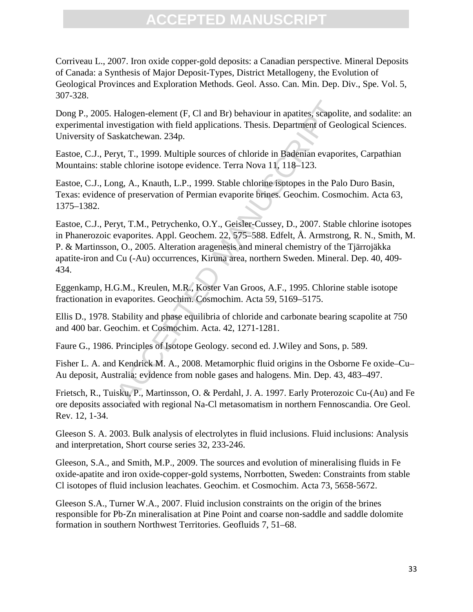Corriveau L., 2007. Iron oxide copper-gold deposits: a Canadian perspective. Mineral Deposits of Canada: a Synthesis of Major Deposit-Types, District Metallogeny, the Evolution of Geological Provinces and Exploration Methods. Geol. Asso. Can. Min. Dep. Div., Spe. Vol. 5, 307-328.

Dong P., 2005. Halogen-element (F, Cl and Br) behaviour in apatites, scapolite, and sodalite: an experimental investigation with field applications. Thesis. Department of Geological Sciences. University of Saskatchewan. 234p.

Eastoe, C.J., Peryt, T., 1999. Multiple sources of chloride in Badenian evaporites, Carpathian Mountains: stable chlorine isotope evidence. Terra Nova 11, 118–123.

Eastoe, C.J., Long, A., Knauth, L.P., 1999. Stable chlorine isotopes in the Palo Duro Basin, Texas: evidence of preservation of Permian evaporite brines. Geochim. Cosmochim. Acta 63, 1375–1382.

Halogen-element (F, C1 and Br) behaviour in apatites, scapolity<br>estigation with field applications. Thesis. Department of Geol<br>skatchewan. 234p.<br>yt, T., 1999. Multiple sources of chloride in Badenian evapori<br>le chlorine is Eastoe, C.J., Peryt, T.M., Petrychenko, O.Y., Geisler-Cussey, D., 2007. Stable chlorine isotopes in Phanerozoic evaporites. Appl. Geochem. 22, 575–588. Edfelt, Å. Armstrong, R. N., Smith, M. P. & Martinsson, O., 2005. Alteration aragenesis and mineral chemistry of the Tjärrojäkka apatite-iron and Cu (-Au) occurrences, Kiruna area, northern Sweden. Mineral. Dep. 40, 409- 434.

Eggenkamp, H.G.M., Kreulen, M.R., Koster Van Groos, A.F., 1995. Chlorine stable isotope fractionation in evaporites. Geochim. Cosmochim. Acta 59, 5169–5175.

Ellis D., 1978. Stability and phase equilibria of chloride and carbonate bearing scapolite at 750 and 400 bar. Geochim. et Cosmochim. Acta. 42, 1271-1281.

Faure G., 1986. Principles of Isotope Geology. second ed. J.Wiley and Sons, p. 589.

Fisher L. A. and Kendrick M. A., 2008. Metamorphic fluid origins in the Osborne Fe oxide–Cu– Au deposit, Australia: evidence from noble gases and halogens. Min. Dep. 43, 483–497.

Frietsch, R., Tuisku, P., Martinsson, O. & Perdahl, J. A. 1997. Early Proterozoic Cu-(Au) and Fe ore deposits associated with regional Na-Cl metasomatism in northern Fennoscandia. Ore Geol. Rev. 12, 1-34.

Gleeson S. A. 2003. Bulk analysis of electrolytes in fluid inclusions. Fluid inclusions: Analysis and interpretation, Short course series 32, 233-246.

Gleeson, S.A., and Smith, M.P., 2009. The sources and evolution of mineralising fluids in Fe oxide-apatite and iron oxide-copper-gold systems, Norrbotten, Sweden: Constraints from stable Cl isotopes of fluid inclusion leachates. Geochim. et Cosmochim. Acta 73, 5658-5672.

Gleeson S.A., Turner W.A., 2007. Fluid inclusion constraints on the origin of the brines responsible for Pb‐Zn mineralisation at Pine Point and coarse non‐saddle and saddle dolomite formation in southern Northwest Territories. Geofluids 7, 51–68.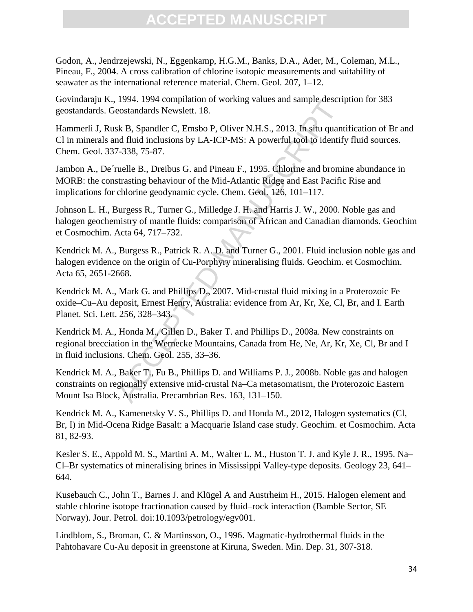Godon, A., Jendrzejewski, N., Eggenkamp, H.G.M., Banks, D.A., Ader, M., Coleman, M.L., Pineau, F., 2004. A cross calibration of chlorine isotopic measurements and suitability of seawater as the international reference material. Chem. Geol. 207, 1–12.

Govindaraju K., 1994. 1994 compilation of working values and sample description for 383 geostandards. Geostandards Newslett. 18.

Hammerli J, Rusk B, Spandler C, Emsbo P, Oliver N.H.S., 2013. In situ quantification of Br and Cl in minerals and fluid inclusions by LA-ICP-MS: A powerful tool to identify fluid sources. Chem. Geol. 337-338, 75-87.

Jambon A., De´ruelle B., Dreibus G. and Pineau F., 1995. Chlorine and bromine abundance in MORB: the constrasting behaviour of the Mid-Atlantic Ridge and East Pacific Rise and implications for chlorine geodynamic cycle. Chem. Geol. 126, 101–117.

Johnson L. H., Burgess R., Turner G., Milledge J. H. and Harris J. W., 2000. Noble gas and halogen geochemistry of mantle fluids: comparison of African and Canadian diamonds. Geochim et Cosmochim. Acta 64, 717–732.

Kendrick M. A., Burgess R., Patrick R. A. D. and Turner G., 2001. Fluid inclusion noble gas and halogen evidence on the origin of Cu-Porphyry mineralising fluids. Geochim. et Cosmochim. Acta 65, 2651-2668.

Kendrick M. A., Mark G. and Phillips D., 2007. Mid-crustal fluid mixing in a Proterozoic Fe oxide–Cu–Au deposit, Ernest Henry, Australia: evidence from Ar, Kr, Xe, Cl, Br, and I. Earth Planet. Sci. Lett. 256, 328–343.

1994. 1994 Computation of Working values and sample descripted and and sake R, Spandler C, Emsbo P, Oliver N.H.S., 2013. In situ quant and fluid inclusions by LA-ICP-MS: A powerful tool to identify and that dinclusions by Kendrick M. A., Honda M., Gillen D., Baker T. and Phillips D., 2008a. New constraints on regional brecciation in the Wernecke Mountains, Canada from He, Ne, Ar, Kr, Xe, Cl, Br and I in fluid inclusions. Chem. Geol. 255, 33–36.

Kendrick M. A., Baker T., Fu B., Phillips D. and Williams P. J., 2008b. Noble gas and halogen constraints on regionally extensive mid-crustal Na–Ca metasomatism, the Proterozoic Eastern Mount Isa Block, Australia. Precambrian Res. 163, 131–150.

Kendrick M. A., Kamenetsky V. S., Phillips D. and Honda M., 2012, Halogen systematics (Cl, Br, I) in Mid-Ocena Ridge Basalt: a Macquarie Island case study. Geochim. et Cosmochim. Acta 81, 82-93.

Kesler S. E., Appold M. S., Martini A. M., Walter L. M., Huston T. J. and Kyle J. R., 1995. Na– Cl–Br systematics of mineralising brines in Mississippi Valley-type deposits. Geology 23, 641– 644.

Kusebauch C., John T., Barnes J. and Klügel A and Austrheim H., 2015. Halogen element and stable chlorine isotope fractionation caused by fluid–rock interaction (Bamble Sector, SE Norway). Jour. Petrol. doi:10.1093/petrology/egv001.

Lindblom, S., Broman, C. & Martinsson, O., 1996. Magmatic-hydrothermal fluids in the Pahtohavare Cu-Au deposit in greenstone at Kiruna, Sweden. Min. Dep. 31, 307-318.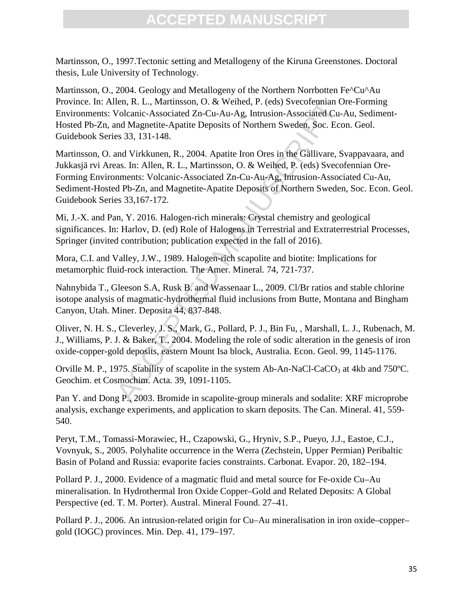Martinsson, O., 1997.Tectonic setting and Metallogeny of the Kiruna Greenstones. Doctoral thesis, Lule University of Technology.

Martinsson, O., 2004. Geology and Metallogeny of the Northern Norrbotten Fe^Cu^Au Province. In: Allen, R. L., Martinsson, O. & Weihed, P. (eds) Svecofennian Ore-Forming Environments: Volcanic-Associated Zn-Cu-Au-Ag, Intrusion-Associated Cu-Au, Sediment-Hosted Pb-Zn, and Magnetite-Apatite Deposits of Northern Sweden, Soc. Econ. Geol. Guidebook Series 33, 131-148.

len, R. L., Martinsson, O. & Weihed, P. (eds) Svecofennian O.<br>Volcanic-Associated Zn-Cu-Au-Ag, Intrusion-Associated Cu-Au-Ag and Magnetite-Apatite Deposits of Northern Sweden, Soc. Eco<br>nd Magnetite-Apatite Deposits of Nort Martinsson, O. and Virkkunen, R., 2004. Apatite Iron Ores in the Gällivare, Svappavaara, and Jukkasjä rvi Areas. In: Allen, R. L., Martinsson, O. & Weihed, P. (eds) Svecofennian Ore-Forming Environments: Volcanic-Associated Zn-Cu-Au-Ag, Intrusion-Associated Cu-Au, Sediment-Hosted Pb-Zn, and Magnetite-Apatite Deposits of Northern Sweden, Soc. Econ. Geol. Guidebook Series 33,167-172.

Mi, J.-X. and Pan, Y. 2016. Halogen-rich minerals: Crystal chemistry and geological significances. In: Harlov, D. (ed) Role of Halogens in Terrestrial and Extraterrestrial Processes, Springer (invited contribution; publication expected in the fall of 2016).

Mora, C.I. and Valley, J.W., 1989. Halogen-rich scapolite and biotite: Implications for metamorphic fluid-rock interaction. The Amer. Mineral. 74, 721-737.

Nahnybida T., Gleeson S.A, Rusk B. and Wassenaar L., 2009. Cl/Br ratios and stable chlorine isotope analysis of magmatic-hydrothermal fluid inclusions from Butte, Montana and Bingham Canyon, Utah. Miner. Deposita 44, 837-848.

Oliver, N. H. S., Cleverley, J. S., Mark, G., Pollard, P. J., Bin Fu, , Marshall, L. J., Rubenach, M. J., Williams, P. J. & Baker, T., 2004. Modeling the role of sodic alteration in the genesis of iron oxide-copper-gold deposits, eastern Mount Isa block, Australia. Econ. Geol. 99, 1145-1176.

Orville M. P., 1975. Stability of scapolite in the system Ab-An-NaCl-CaCO<sub>3</sub> at 4kb and 750°C. Geochim. et Cosmochim. Acta. 39, 1091-1105.

Pan Y. and Dong P., 2003. Bromide in scapolite-group minerals and sodalite: XRF microprobe analysis, exchange experiments, and application to skarn deposits. The Can. Mineral. 41, 559- 540.

Peryt, T.M., Tomassi-Morawiec, H., Czapowski, G., Hryniv, S.P., Pueyo, J.J., Eastoe, C.J., Vovnyuk, S., 2005. Polyhalite occurrence in the Werra (Zechstein, Upper Permian) Peribaltic Basin of Poland and Russia: evaporite facies constraints. Carbonat. Evapor. 20, 182–194.

Pollard P. J., 2000. Evidence of a magmatic fluid and metal source for Fe-oxide Cu–Au mineralisation. In Hydrothermal Iron Oxide Copper–Gold and Related Deposits: A Global Perspective (ed. T. M. Porter). Austral. Mineral Found. 27–41.

Pollard P. J., 2006. An intrusion-related origin for Cu–Au mineralisation in iron oxide–copper– gold (IOGC) provinces. Min. Dep. 41, 179–197.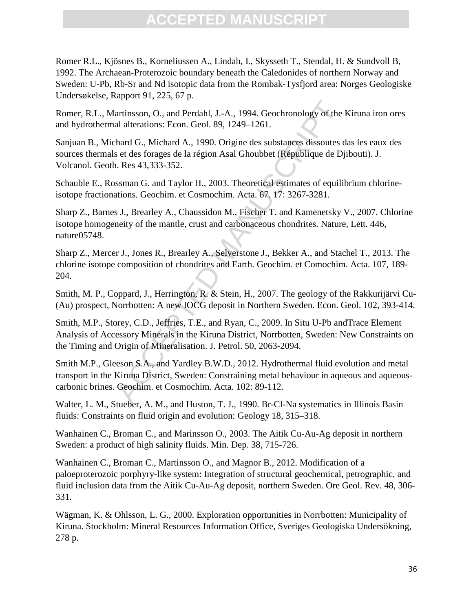Romer R.L., Kjösnes B., Korneliussen A., Lindah, I., Skysseth T., Stendal, H. & Sundvoll B, 1992. The Archaean-Proterozoic boundary beneath the Caledonides of northern Norway and Sweden: U-Pb, Rb-Sr and Nd isotopic data from the Rombak-Tysfjord area: Norges Geologiske Undersøkelse, Rapport 91, 225, 67 p.

Romer, R.L., Martinsson, O., and Perdahl, J.-A., 1994. Geochronology of the Kiruna iron ores and hydrothermal alterations: Econ. Geol. 89, 1249–1261.

Sanjuan B., Michard G., Michard A., 1990. Origine des substances dissoutes das les eaux des sources thermals et des forages de la région Asal Ghoubbet (République de Djibouti). J. Volcanol. Geoth. Res 43,333-352.

Schauble E., Rossman G. and Taylor H., 2003. Theoretical estimates of equilibrium chlorineisotope fractionations. Geochim. et Cosmochim. Acta. 67. 17: 3267-3281.

Sharp Z., Barnes J., Brearley A., Chaussidon M., Fischer T. and Kamenetsky V., 2007. Chlorine isotope homogeneity of the mantle, crust and carbonaceous chondrites. Nature, Lett. 446, nature05748.

Sharp Z., Mercer J., Jones R., Brearley A., Selverstone J., Bekker A., and Stachel T., 2013. The chlorine isotope composition of chondrites and Earth. Geochim. et Comochim. Acta. 107, 189- 204.

Smith, M. P., Coppard, J., Herrington, R. & Stein, H., 2007. The geology of the Rakkurijärvi Cu- (Au) prospect, Norrbotten: A new IOCG deposit in Northern Sweden. Econ. Geol. 102, 393-414.

Trinsson, O., and Perdahl, J.-A., 1994. Geochronology of the<br>al alterations: Econ. Geol. 89, 1249–1261.<br>hard G., Michard A., 1990. Origine des substances dissoutes of<br>set des forages de la région Asal Ghoubbet (République Smith, M.P., Storey, C.D., Jeffries, T.E., and Ryan, C., 2009. In Situ U-Pb andTrace Element Analysis of Accessory Minerals in the Kiruna District, Norrbotten, Sweden: New Constraints on the Timing and Origin of Mineralisation. J. Petrol. 50, 2063-2094.

Smith M.P., Gleeson S.A., and Yardley B.W.D., 2012. Hydrothermal fluid evolution and metal transport in the Kiruna District, Sweden: Constraining metal behaviour in aqueous and aqueouscarbonic brines. Geochim. et Cosmochim. Acta. 102: 89-112.

Walter, L. M., Stueber, A. M., and Huston, T. J., 1990. Br-Cl-Na systematics in Illinois Basin fluids: Constraints on fluid origin and evolution: Geology 18, 315–318.

Wanhainen C., Broman C., and Marinsson O., 2003. The Aitik Cu-Au-Ag deposit in northern Sweden: a product of high salinity fluids. Min. Dep. 38, 715-726.

Wanhainen C., Broman C., Martinsson O., and Magnor B., 2012. Modification of a paloeproterozoic porphyry-like system: Integration of structural geochemical, petrographic, and fluid inclusion data from the Aitik Cu-Au-Ag deposit, northern Sweden. Ore Geol. Rev. 48, 306- 331.

Wägman, K. & Ohlsson, L. G., 2000. Exploration opportunities in Norrbotten: Municipality of Kiruna. Stockholm: Mineral Resources Information Office, Sveriges Geologiska Undersökning, 278 p.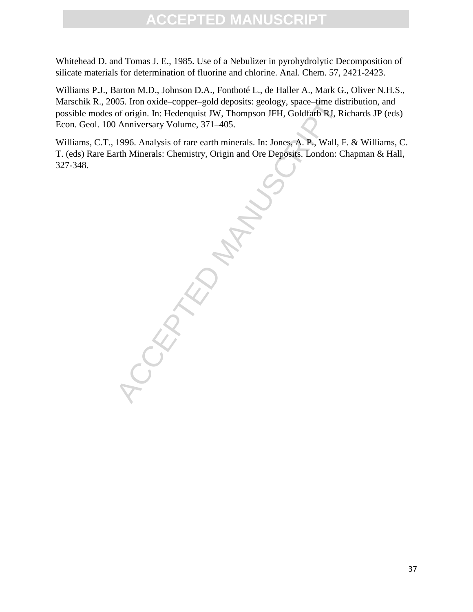Whitehead D. and Tomas J. E., 1985. Use of a Nebulizer in pyrohydrolytic Decomposition of silicate materials for determination of fluorine and chlorine. Anal. Chem. 57, 2421-2423.

Williams P.J., Barton M.D., Johnson D.A., Fontboté L., de Haller A., Mark G., Oliver N.H.S., Marschik R., 2005. Iron oxide–copper–gold deposits: geology, space–time distribution, and possible modes of origin. In: Hedenquist JW, Thompson JFH, Goldfarb RJ, Richards JP (eds) Econ. Geol. 100 Anniversary Volume, 371–405.

Williams, C.T., 1996. Analysis of rare earth minerals. In: Jones, A. P., Wall, F. & Williams, C. T. (eds) Rare Earth Minerals: Chemistry, Origin and Ore Deposits. London: Chapman & Hall, 327-348.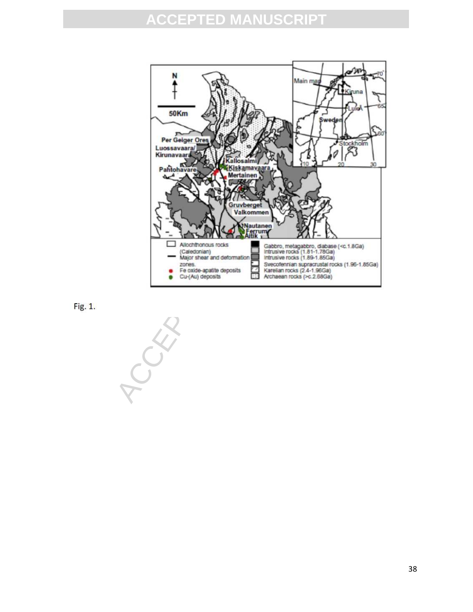



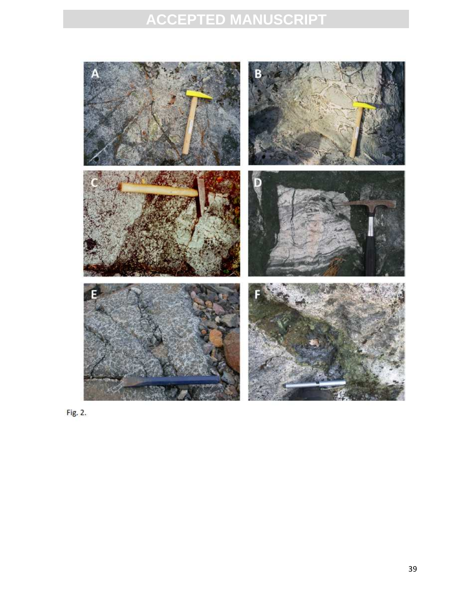

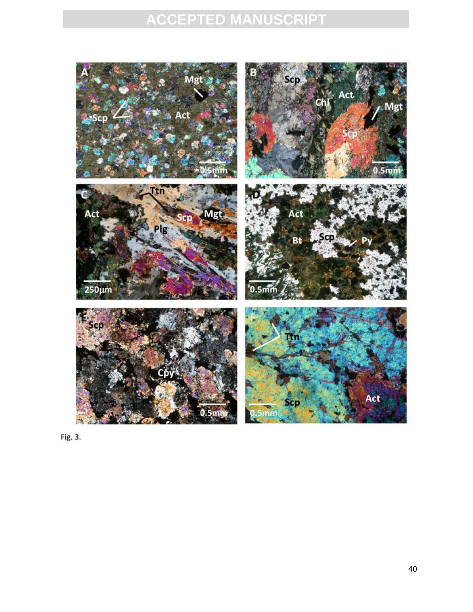

Fig. 3.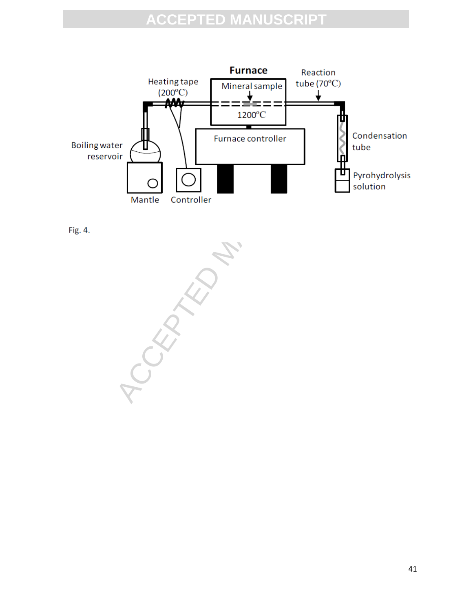

Fig. 4.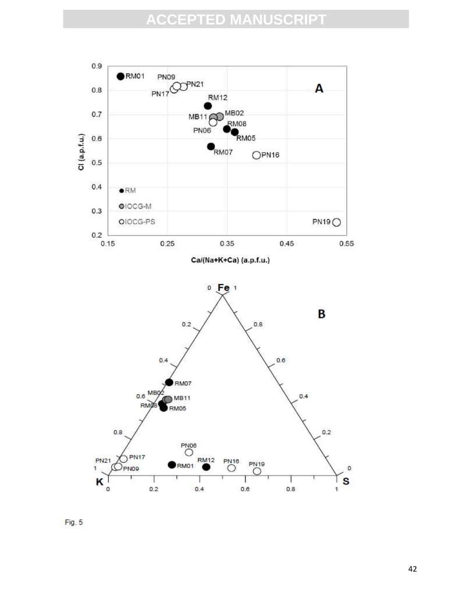

 $Fig. 5$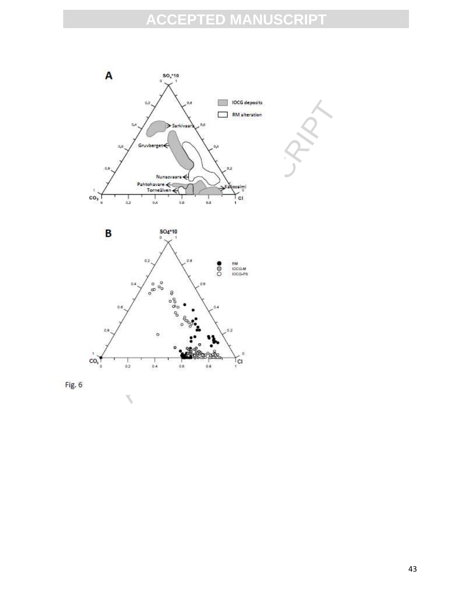



Fig. 6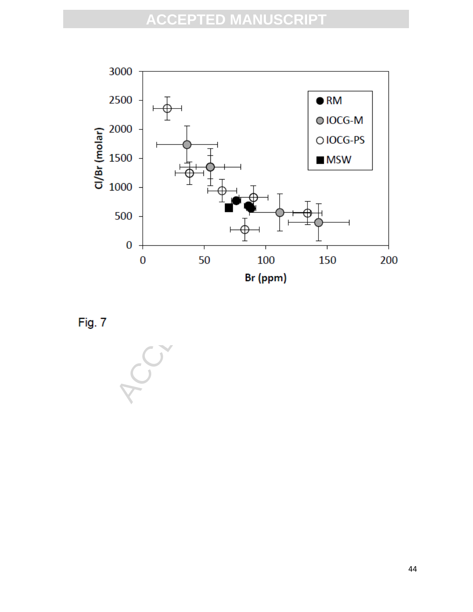

Fig. 7

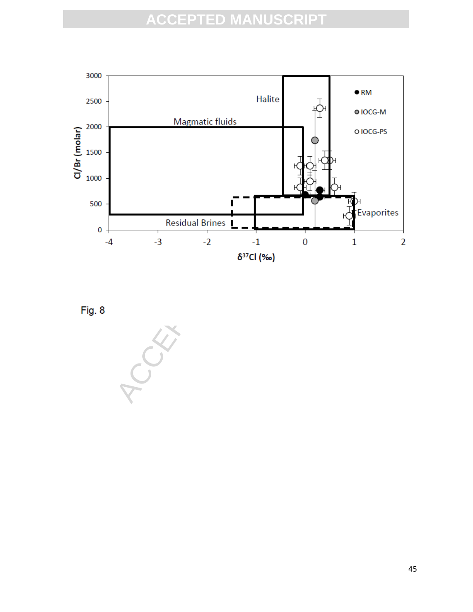

Fig. 8

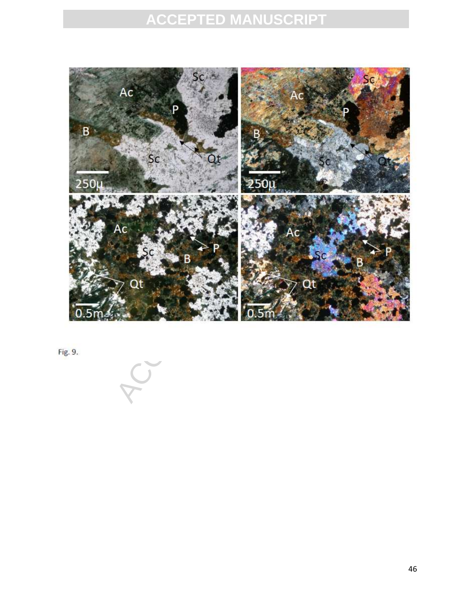

Fig. 9.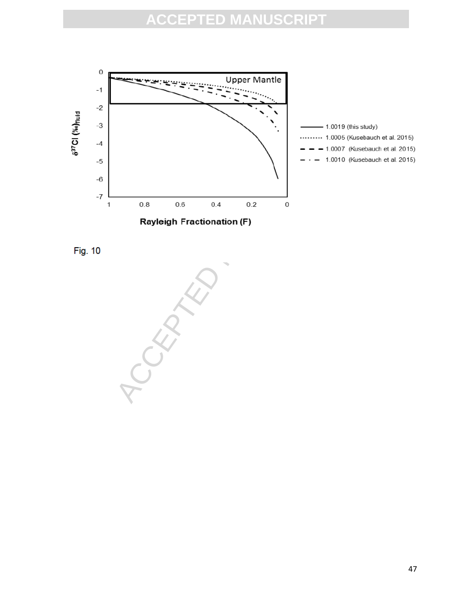

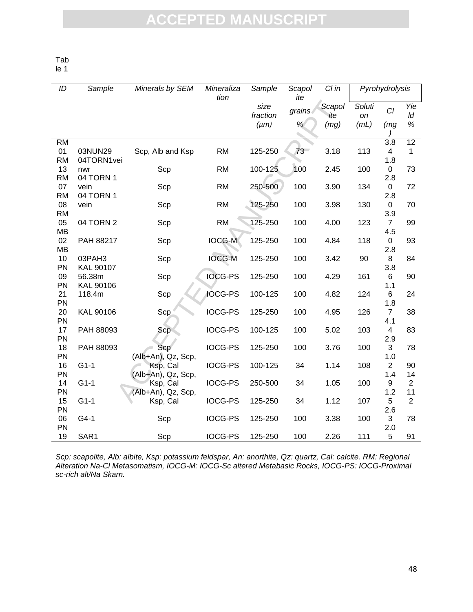Tab

le 1

| ID              | Sample           | Minerals by SEM    | Mineraliza<br>Sample<br>tion |                  | Scapol<br>ite | $Cl$ in       | Pyrohydrolysis |                       |                      |  |
|-----------------|------------------|--------------------|------------------------------|------------------|---------------|---------------|----------------|-----------------------|----------------------|--|
|                 |                  |                    |                              | size<br>fraction | grains        | Scapol<br>ite | Soluti<br>on   | Cl                    | Yie<br>ld            |  |
|                 |                  |                    |                              | $(\mu m)$        | %             | (mg)          | (mL)           | (mg)                  | $\%$                 |  |
|                 |                  |                    |                              |                  |               |               |                |                       |                      |  |
| <b>RM</b>       |                  |                    |                              |                  |               |               |                | 3.8                   | 12                   |  |
| 01              | 03NUN29          | Scp, Alb and Ksp   | <b>RM</b>                    | 125-250          | 73            | 3.18          | 113            | 4                     | 1                    |  |
| <b>RM</b>       | 04TORN1vei       |                    |                              | 100-125          | 100           |               |                | 1.8<br>$\overline{0}$ |                      |  |
| 13<br><b>RM</b> | nwr<br>04 TORN 1 | Scp                | <b>RM</b>                    |                  |               | 2.45          | 100            |                       | 73                   |  |
| 07              | vein             | Scp                | <b>RM</b>                    | 250-500          | 100           | 3.90          | 134            | 2.8<br>0              | 72                   |  |
| <b>RM</b>       | 04 TORN 1        |                    |                              |                  |               |               |                | 2.8                   |                      |  |
| 08              | vein             | Scp                | <b>RM</b>                    | 125-250          | 100           | 3.98          | 130            | $\mathbf 0$           | 70                   |  |
| <b>RM</b>       |                  |                    |                              |                  |               |               |                | 3.9                   |                      |  |
| 05              | 04 TORN 2        | Scp                | <b>RM</b>                    | 125-250          | 100           | 4.00          | 123            | $\overline{7}$        | 99                   |  |
| <b>MB</b>       |                  |                    |                              |                  |               |               |                | 4.5                   |                      |  |
| 02              | PAH 88217        | Scp                | <b>IOCG-M</b>                | 125-250          | 100           | 4.84          | 118            | $\boldsymbol{0}$      | 93                   |  |
| <b>MB</b>       |                  |                    |                              |                  |               |               |                | 2.8                   |                      |  |
| 10              | 03PAH3           | Scp                | <b>IOCG-M</b>                | 125-250          | 100           | 3.42          | 90             | 8                     | 84                   |  |
| PN              | <b>KAL 90107</b> |                    |                              |                  |               |               |                | 3.8                   |                      |  |
| 09              | 56.38m           | Scp                | <b>IOCG-PS</b>               | 125-250          | 100           | 4.29          | 161            | 6                     | 90                   |  |
| PN              | KAL 90106        |                    |                              |                  |               |               |                | 1.1                   |                      |  |
| 21              | 118.4m           | Scp                | IOCG-PS                      | 100-125          | 100           | 4.82          | 124            | 6                     | 24                   |  |
| PN              |                  |                    |                              |                  |               |               |                | 1.8                   |                      |  |
| 20              | KAL 90106        | Scp                | <b>IOCG-PS</b>               | 125-250          | 100           | 4.95          | 126            | $\overline{7}$        | 38                   |  |
| PN              |                  |                    |                              |                  |               |               |                | 4.1                   |                      |  |
| 17              | PAH 88093        | Scp                | <b>IOCG-PS</b>               | 100-125          | 100           | 5.02          | 103            | 4                     | 83                   |  |
| PN              |                  |                    |                              |                  |               |               |                | 2.9                   |                      |  |
| 18              | PAH 88093        | Scp                | <b>IOCG-PS</b>               | 125-250          | 100           | 3.76          | 100            | 3                     | 78                   |  |
| PN              |                  | (Alb+An), Qz, Scp, |                              |                  |               |               |                | 1.0                   |                      |  |
| 16              | $G1-1$           | Ksp, Cal           | <b>IOCG-PS</b>               | 100-125          | 34            | 1.14          | 108            | $\overline{2}$        | 90                   |  |
| PN              |                  | (Alb+An), Qz, Scp, |                              |                  |               |               |                | 1.4                   | 14                   |  |
| 14              | $G1-1$           | Ksp, Cal           | IOCG-PS                      | 250-500          | 34            | 1.05          | 100            | 9                     | $\overline{2}$       |  |
| PN              |                  | (Alb+An), Qz, Scp, |                              |                  |               |               |                | 1.2                   | 11<br>$\overline{2}$ |  |
| 15              | $G1-1$           | Ksp, Cal           | <b>IOCG-PS</b>               | 125-250          | 34            | 1.12          | 107            | 5                     |                      |  |
| PN<br>06        | $G4-1$           | Scp                | <b>IOCG-PS</b>               | 125-250          | 100           | 3.38          | 100            | 2.6<br>3              | 78                   |  |
| PN              |                  |                    |                              |                  |               |               |                | 2.0                   |                      |  |
| 19              | SAR1             | Scp                | <b>IOCG-PS</b>               | 125-250          | 100           | 2.26          | 111            | 5                     | 91                   |  |
|                 |                  |                    |                              |                  |               |               |                |                       |                      |  |

Scp: scapolite, Alb: albite, Ksp: potassium feldspar, An: anorthite, Qz: quartz, Cal: calcite. RM: Regional Alteration Na-Cl Metasomatism, IOCG-M: IOCG-Sc altered Metabasic Rocks, IOCG-PS: IOCG-Proximal sc-rich alt/Na Skarn.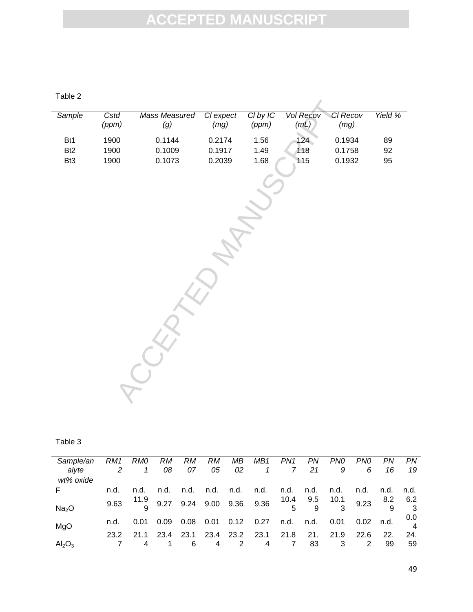Table 2

| Sample          | Cstd<br>(ppm) | Mass Measured<br>(g) | Cl expect<br>(mg) | CI by IC<br>(ppm) | Vol Recov<br>(mL) | Cl Recov<br>(mg) | Yield % |
|-----------------|---------------|----------------------|-------------------|-------------------|-------------------|------------------|---------|
| Bt1             | 1900          | 0.1144               | 0.2174            | 1.56              | 124               | 0.1934           | 89      |
| B <sub>t2</sub> | 1900          | 0.1009               | 0.1917            | 1.49              | 118               | 0.1758           | 92      |
| Bt <sub>3</sub> | 1900          | 0.1073               | 0.2039            | 1.68              | 115               | 0.1932           | 95      |

<sup>14</sup> Mass Measured Clexpect Clby IC Vol Recov CIR<br>
m) (g) (mg) (ppm) (mL) (n<br>
00 0.1014 0.2174 1.56 124 0.1<br>
00 0.1073 0.2039 1.68 115 0.1<br>
1.68 115 0.1<br>
1.68 115 0.1

| н<br>. .<br>. . |  |
|-----------------|--|
|-----------------|--|

| Sample/an               | RM1  | RM0  | RM.  | RM.  | RM.  | MВ   | MB1                                                      | PN1            | PN.       | PN0  | PN0  | PN   | PN   |
|-------------------------|------|------|------|------|------|------|----------------------------------------------------------|----------------|-----------|------|------|------|------|
| alvte                   |      |      | 08   | 07   | 05   | 02   | $\mathcal{I}$                                            | $\overline{7}$ | 21        | 9    | 6    | 16   | 19   |
| wt% oxide               |      |      |      |      |      |      |                                                          |                |           |      |      |      |      |
| E                       | n.d. | n.d. | n.d. |      |      |      | n.d. n.d. n.d. n.d.                                      |                | n.d. n.d. | n.d. | n.d. | n.d. | n.d. |
|                         | 9.63 |      |      |      |      |      | $\frac{11.9}{9.27}$ 9.24 9.00 9.36 9.36 $\frac{10.4}{5}$ |                | 9.5       | 10.1 | 9.23 | 8.2  | 6.2  |
| Na <sub>2</sub> O       |      |      |      |      |      |      |                                                          |                |           | 3    |      |      |      |
|                         | n.d. | 0.01 | 0.09 | 0.08 | 0.01 | 0.12 | 0.27                                                     | n.d.           | n.d.      | 0.01 | 0.02 | n.d. | 0.0  |
| MgO                     |      |      |      |      |      |      |                                                          |                |           |      |      |      |      |
|                         | 23.2 | 21 1 | 23.4 | 23.1 | 23.4 | 23.2 | 23.1                                                     | 21.8           | 21.       | 21.9 | 22.6 | 22.  | 24.  |
| $\text{Al}_2\text{O}_3$ |      |      |      | 6    | 4    | 2    | 4                                                        |                | 83        |      | 2    | 99   | 59   |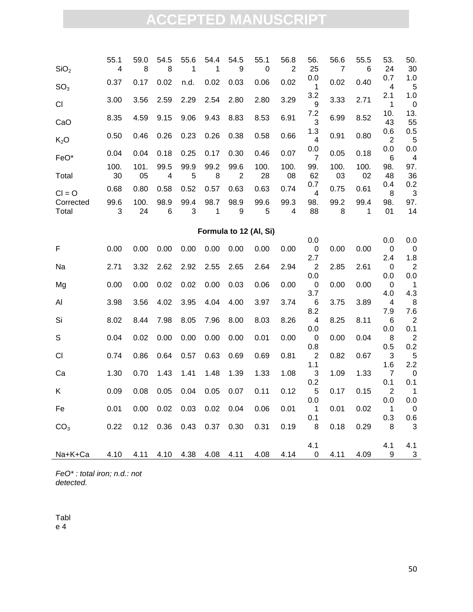| SiO <sub>2</sub>                           | 55.1<br>$\overline{\mathbf{4}}$ | 59.0<br>8  | 54.5<br>8                    | 55.6<br>1 | 54.4<br>1 | 54.5<br>9              | 55.1<br>0  | 56.8<br>$\overline{2}$ | 56.<br>25                         | 56.6<br>7  | 55.5<br>6  | 53.<br>24                      | 50.<br>30             |
|--------------------------------------------|---------------------------------|------------|------------------------------|-----------|-----------|------------------------|------------|------------------------|-----------------------------------|------------|------------|--------------------------------|-----------------------|
| SO <sub>3</sub>                            | 0.37                            | 0.17       | 0.02                         | n.d.      | 0.02      | 0.03                   | 0.06       | 0.02                   | 0.0<br>1                          | 0.02       | 0.40       | 0.7<br>4                       | 1.0<br>5              |
| <b>CI</b>                                  | 3.00                            | 3.56       | 2.59                         | 2.29      | 2.54      | 2.80                   | 2.80       | 3.29                   | 3.2<br>9                          | 3.33       | 2.71       | 2.1<br>1                       | 1.0<br>$\mathbf 0$    |
| CaO                                        | 8.35                            | 4.59       | 9.15                         | 9.06      | 9.43      | 8.83                   | 8.53       | 6.91                   | 7.2<br>3                          | 6.99       | 8.52       | 10.<br>43                      | 13.<br>55             |
| K <sub>2</sub> O                           | 0.50                            | 0.46       | 0.26                         | 0.23      | 0.26      | 0.38                   | 0.58       | 0.66                   | 1.3<br>4                          | 0.91       | 0.80       | 0.6<br>$\overline{2}$          | 0.5<br>5              |
| FeO*                                       | 0.04                            | 0.04       | 0.18                         | 0.25      | 0.17      | 0.30                   | 0.46       | 0.07                   | 0.0<br>$\overline{7}$             | 0.05       | 0.18       | 0.0<br>6                       | 0.0<br>4              |
| Total                                      | 100.<br>30                      | 101.<br>05 | 99.5<br>4                    | 99.9<br>5 | 99.2<br>8 | 99.6<br>$\overline{c}$ | 100.<br>28 | 100.<br>08             | 99.<br>62                         | 100.<br>03 | 100.<br>02 | 98.<br>48                      | 97.<br>36             |
| $Cl = O$                                   | 0.68                            | 0.80       | 0.58                         | 0.52      | 0.57      | 0.63                   | 0.63       | 0.74                   | 0.7<br>$\overline{4}$             | 0.75       | 0.61       | 0.4<br>8                       | 0.2<br>3              |
| Corrected<br>Total                         | 99.6<br>3                       | 100.<br>24 | 98.9<br>6                    | 99.4<br>3 | 98.7<br>1 | 98.9<br>9              | 99.6<br>5  | 99.3<br>4              | 98.<br>88                         | 99.2<br>8  | 99.4<br>1  | 98.<br>01                      | 97.<br>14             |
| Formula to 12 (Al, Si)                     |                                 |            |                              |           |           |                        |            |                        |                                   |            |            |                                |                       |
| F                                          | 0.00                            | 0.00       | 0.00                         | 0.00      | 0.00      | 0.00                   | 0.00       | 0.00                   | 0.0<br>$\pmb{0}$                  | 0.00       | 0.00       | 0.0<br>0                       | 0.0<br>0              |
| Na                                         | 2.71                            | 3.32       | 2.62                         | 2.92      | 2.55      | 2.65                   | 2.64       | 2.94                   | 2.7<br>$\overline{2}$             | 2.85       | 2.61       | 2.4<br>0                       | 1.8<br>$\overline{c}$ |
| Mg                                         | 0.00                            | 0.00       | 0.02                         | 0.02      | 0.00      | 0.03                   | 0.06       | 0.00                   | 0.0<br>$\boldsymbol{0}$           | 0.00       | 0.00       | 0.0<br>0                       | 0.0<br>$\mathbf 1$    |
| Al                                         | 3.98                            | 3.56       | 4.02                         | 3.95      | 4.04      | 4.00                   | 3.97       | 3.74                   | 3.7<br>6                          | 3.75       | 3.89       | 4.0<br>4                       | 4.3<br>8              |
| Si                                         | 8.02                            | 8.44       | 7.98                         | 8.05      | 7.96      | 8.00                   | 8.03       | 8.26                   | 8.2<br>4                          | 8.25       | 8.11       | 7.9<br>6                       | 7.6<br>$\overline{c}$ |
| S                                          | 0.04                            | 0.02       | 0.00                         | 0.00      | 0.00      | 0.00                   | 0.01       | 0.00                   | 0.0<br>$\mathbf 0$                | 0.00       | 0.04       | 0.0<br>8                       | 0.1<br>$\overline{c}$ |
| CI                                         | 0.74                            | 0.86       | 0.64                         | 0.57      | 0.63      | 0.69                   | 0.69       | 0.81                   | 0.8<br>$\boldsymbol{2}$           | 0.82       | 0.67       | 0.5<br>3                       | 0.2<br>5              |
| Ca                                         | 1.30                            | 0.70       | 1.43                         | 1.41      | 1.48      | 1.39                   | 1.33       | 1.08                   | 1.1<br>3                          | 1.09       | 1.33       | 1.6<br>$\overline{7}$          | 2.2<br>$\mathbf 0$    |
| Κ                                          | 0.09                            | 0.08       | 0.05                         | 0.04      | 0.05      | 0.07                   | 0.11       | 0.12                   | 0.2<br>5                          | 0.17       | 0.15       | 0.1<br>$\overline{2}$          | 0.1<br>1              |
| Fe                                         | 0.01                            |            | 0.00  0.02  0.03  0.02  0.04 |           |           |                        | 0.06       | 0.01                   | 0.0<br>$\overline{\phantom{1}}$ 1 | 0.01       | 0.02       | 0.0<br>$\overline{\mathbf{1}}$ | 0.0<br>$\mathbf 0$    |
| CO <sub>3</sub>                            | 0.22                            |            | 0.12  0.36  0.43  0.37  0.30 |           |           |                        | 0.31       | 0.19                   | 0.1<br>8 <sup>8</sup>             | 0.18       | 0.29       | 0.3<br>- 8                     | 0.6<br>3              |
| Na+K+Ca 4.10 4.11 4.10 4.38 4.08 4.11 4.08 |                                 |            |                              |           |           |                        |            | $4.14 \qquad 0$        | 4.1                               | 4.11       | 4.09       | 4.1<br>9                       | 4.1<br>$\frac{3}{2}$  |

FeO\* : total iron; n.d.: not detected.

Tabl e 4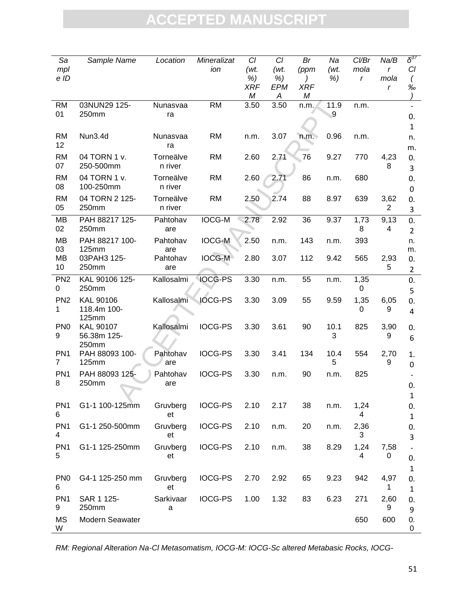| Sa<br>mpl                         | Sample Name                       | Location             | Mineralizat<br>ion | Cl<br>(wt.            | CI<br>(wt.     | Br<br>(ppm) | Na<br>(wt. | Cl/Br<br>mola | Na/B<br>$\mathbf{r}$ | $\delta^{37}$<br>CI     |
|-----------------------------------|-----------------------------------|----------------------|--------------------|-----------------------|----------------|-------------|------------|---------------|----------------------|-------------------------|
| e ID                              |                                   |                      |                    | %)<br><b>XRF</b><br>М | %)<br>EPM<br>A | XRF<br>M    | %)         | $\mathsf{r}$  | mola<br>r            | %                       |
| <b>RM</b><br>01                   | 03NUN29 125-<br>250mm             | Nunasvaa<br>ra       | <b>RM</b>          | 3.50                  | 3.50           | n.m.        | 11.9<br>9  | n.m.          |                      | 0.                      |
|                                   |                                   |                      |                    |                       |                |             |            |               |                      | $\mathbf{1}$            |
| <b>RM</b><br>12                   | Nun3.4d                           | Nunasvaa<br>ra       | <b>RM</b>          | n.m.                  | 3.07           | n.m.        | 0.96       | n.m.          |                      | n.<br>m.                |
| <b>RM</b><br>07                   | 04 TORN 1 v.<br>250-500mm         | Torneälve<br>n river | <b>RM</b>          | 2.60                  | 2.71           | 76          | 9.27       | 770           | 4,23<br>8            | 0.<br>3                 |
| <b>RM</b><br>08                   | 04 TORN 1 v.<br>100-250mm         | Torneälve<br>n river | <b>RM</b>          | 2.60                  | 2.71           | 86          | n.m.       | 680           |                      | 0.<br>0                 |
| <b>RM</b><br>05                   | 04 TORN 2 125-<br>250mm           | Torneälve<br>n river | <b>RM</b>          | 2.50                  | 2.74           | 88          | 8.97       | 639           | 3,62<br>2            | 0.<br>3                 |
| MВ<br>02                          | PAH 88217 125-<br>250mm           | Pahtohav<br>are      | <b>IOCG-M</b>      | 2.78                  | 2.92           | 36          | 9.37       | 1,73<br>8     | 9,13<br>4            | 0.<br>$\overline{2}$    |
| <b>MB</b><br>03                   | PAH 88217 100-<br>125mm           | Pahtohav<br>are      | <b>IOCG-M</b>      | 2.50                  | n.m.           | 143         | n.m.       | 393           |                      | n.<br>m.                |
| MB<br>10                          | 03PAH3 125-<br>250mm              | Pahtohav<br>are      | <b>IOCG-M</b>      | 2.80                  | 3.07           | 112         | 9.42       | 565           | 2,93<br>5            | 0.<br>$\overline{2}$    |
| PN <sub>2</sub><br>0              | KAL 90106 125-<br>250mm           | Kallosalmi           | <b>IOCG-PS</b>     | 3.30                  | n.m.           | 55          | n.m.       | 1,35<br>0     |                      | 0.<br>5                 |
| PN <sub>2</sub><br>1              | KAL 90106<br>118.4m 100-<br>125mm | Kallosalmi           | <b>IOCG-PS</b>     | 3.30                  | 3.09           | 55          | 9.59       | 1,35<br>0     | 6,05<br>9            | 0.<br>4                 |
| PN <sub>0</sub><br>9              | <b>KAL 90107</b><br>56.38m 125-   | Kallosalmi           | <b>IOCG-PS</b>     | 3.30                  | 3.61           | 90          | 10.1<br>3  | 825           | 3,90<br>9            | 0.<br>6                 |
| PN <sub>1</sub><br>$\overline{7}$ | 250mm<br>PAH 88093 100-<br>125mm  | Pahtohav<br>are      | <b>IOCG-PS</b>     | 3.30                  | 3.41           | 134         | 10.4<br>5  | 554           | 2,70<br>9            | 1.<br>0                 |
| PN <sub>1</sub><br>8              | PAH 88093 125-<br>250mm           | Pahtohav<br>are      | <b>IOCG-PS</b>     | 3.30                  | n.m.           | 90          | n.m.       | 825           |                      | 0.                      |
| PN <sub>1</sub><br>6              | G1-1 100-125mm                    | Gruvberg<br>et       | <b>IOCG-PS</b>     | 2.10                  | 2.17           | 38          | n.m.       | 1,24<br>4     |                      | $\mathbf{1}$<br>0.<br>1 |
| PN <sub>1</sub><br>4              | G1-1 250-500mm                    | Gruvberg<br>et       | <b>IOCG-PS</b>     | 2.10                  | n.m.           | 20          | n.m.       | 2,36<br>3     |                      | 0.<br>3                 |
| PN <sub>1</sub><br>5              | G1-1 125-250mm                    | Gruvberg<br>et       | <b>IOCG-PS</b>     | 2.10                  | n.m.           | 38          | 8.29       | 1,24<br>4     | 7,58<br>0            | 0.<br>$\mathbf{1}$      |
| PN <sub>0</sub><br>6              | G4-1 125-250 mm                   | Gruvberg<br>et       | <b>IOCG-PS</b>     | 2.70                  | 2.92           | 65          | 9.23       | 942           | 4,97<br>1            | 0.<br>$\mathbf{1}$      |
| PN <sub>1</sub><br>9              | SAR 1 125-<br>250mm               | Sarkivaar<br>a       | <b>IOCG-PS</b>     | 1.00                  | 1.32           | 83          | 6.23       | 271           | 2,60<br>9            | 0.<br>9                 |
| <b>MS</b><br>W                    | Modern Seawater                   |                      |                    |                       |                |             |            | 650           | 600                  | 0.<br>0                 |

RM: Regional Alteration Na-Cl Metasomatism, IOCG-M: IOCG-Sc altered Metabasic Rocks, IOCG-